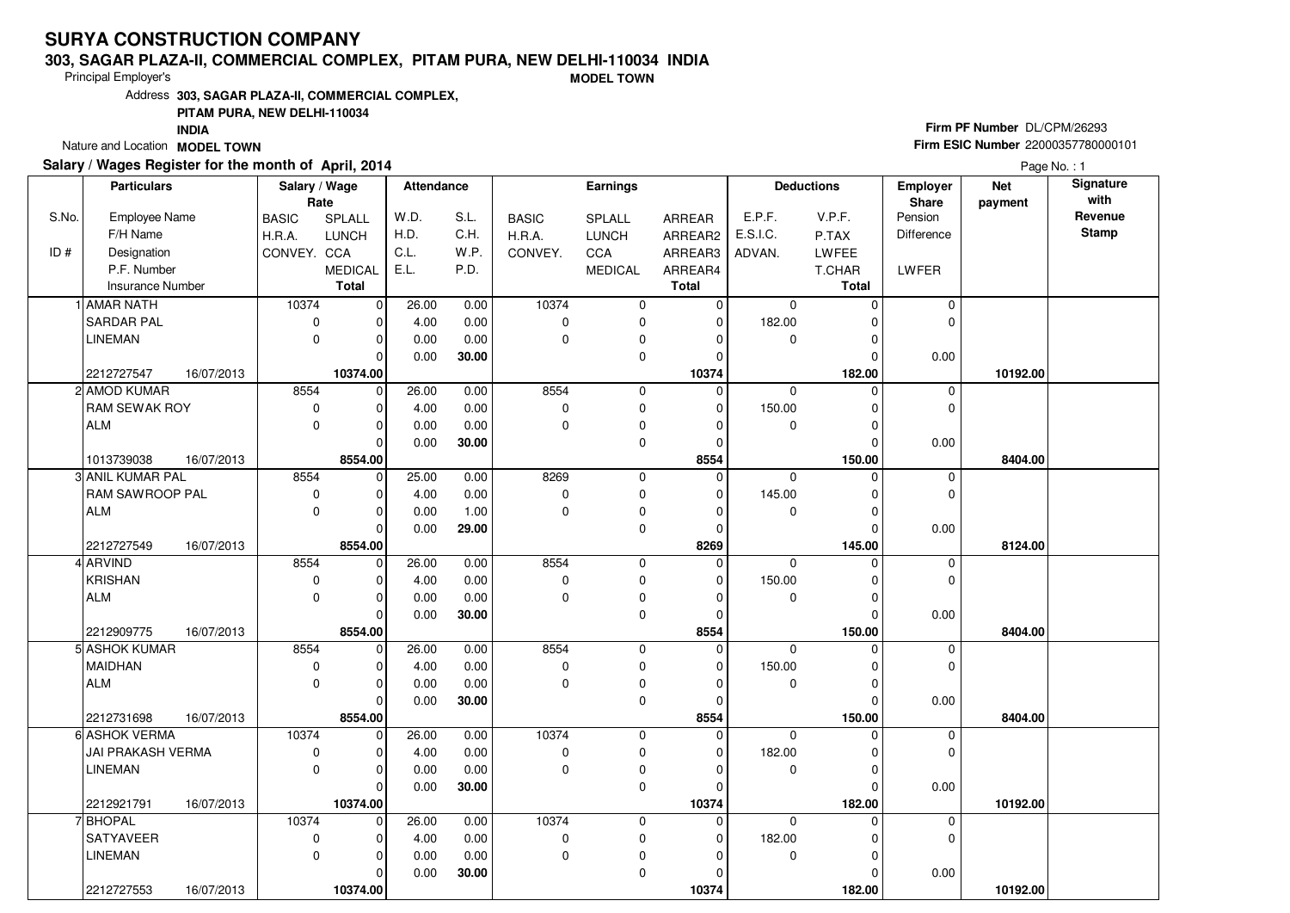### **303, SAGAR PLAZA-II, COMMERCIAL COMPLEX, PITAM PURA, NEW DELHI-110034 INDIA**

Principal Employer's

**MODEL TOWN**

Address**303, SAGAR PLAZA-II, COMMERCIAL COMPLEX,**

### **PITAM PURA, NEW DELHI-110034**

**INDIA**

Nature and Location **MODEL TOWN** 

## **Salary / Wages Register for the month of April, 2014**

# **Firm PF Number** DL/CPM/26293 **Firm ESIC Number** <sup>22000357780000101</sup>

|       | <b>Particulars</b>      |            | Salary / Wage        |                | <b>Attendance</b> |       |              | Earnings               |              |             | <b>Deductions</b> | Employer         | <b>Net</b> | Signature<br>with |
|-------|-------------------------|------------|----------------------|----------------|-------------------|-------|--------------|------------------------|--------------|-------------|-------------------|------------------|------------|-------------------|
| S.No. | Employee Name           |            | Rate<br><b>BASIC</b> | SPLALL         | W.D.              | S.L.  | <b>BASIC</b> | SPLALL                 | ARREAR       | E.P.F.      | V.P.F.            | Share<br>Pension | payment    | Revenue           |
|       | F/H Name                |            | H.R.A.               | LUNCH          | H.D.              | C.H.  | H.R.A.       | <b>LUNCH</b>           | ARREAR2      | E.S.I.C.    | P.TAX             | Difference       |            | <b>Stamp</b>      |
| ID#   | Designation             |            | CONVEY. CCA          |                | C.L.              | W.P.  | CONVEY.      | CCA                    | ARREAR3      | ADVAN.      | LWFEE             |                  |            |                   |
|       | P.F. Number             |            |                      | <b>MEDICAL</b> | E.L.              | P.D.  |              | <b>MEDICAL</b>         | ARREAR4      |             | T.CHAR            | LWFER            |            |                   |
|       | <b>Insurance Number</b> |            |                      | <b>Total</b>   |                   |       |              |                        | <b>Total</b> |             | Total             |                  |            |                   |
|       | <b>AMAR NATH</b>        |            | 10374                | $\mathbf 0$    | 26.00             | 0.00  | 10374        | $\mathbf 0$            | $\mathbf 0$  | $\mathbf 0$ | $\Omega$          | 0                |            |                   |
|       | <b>SARDAR PAL</b>       |            | 0                    | 0              | 4.00              | 0.00  | 0            | $\pmb{0}$              | $\mathbf 0$  | 182.00      | $\Omega$          | 0                |            |                   |
|       | <b>LINEMAN</b>          |            | $\mathbf 0$          | $\overline{0}$ | 0.00              | 0.00  | 0            | $\pmb{0}$              | $\Omega$     | $\mathbf 0$ | $\Omega$          |                  |            |                   |
|       |                         |            |                      | $\Omega$       | 0.00              | 30.00 |              | $\mathbf 0$            | $\Omega$     |             | $\Omega$          | 0.00             |            |                   |
|       | 2212727547              | 16/07/2013 |                      | 10374.00       |                   |       |              |                        | 10374        |             | 182.00            |                  | 10192.00   |                   |
|       | 2 AMOD KUMAR            |            | 8554                 | $\mathbf 0$    | 26.00             | 0.00  | 8554         | $\mathbf 0$            | $\Omega$     | $\mathbf 0$ | $\Omega$          | $\mathbf 0$      |            |                   |
|       | RAM SEWAK ROY           |            | 0                    | 0              | 4.00              | 0.00  | 0            |                        | $\mathbf{0}$ | 150.00      | $\Omega$          | 0                |            |                   |
|       | <b>ALM</b>              |            | $\mathbf 0$          | $\overline{0}$ | 0.00              | 0.00  | 0            | $\pmb{0}$              | $\Omega$     | $\mathbf 0$ | $\Omega$          |                  |            |                   |
|       |                         |            |                      | O              | 0.00              | 30.00 |              | $\pmb{0}$<br>$\pmb{0}$ | $\Omega$     |             | $\Omega$          | 0.00             |            |                   |
|       | 1013739038              | 16/07/2013 |                      | 8554.00        |                   |       |              |                        | 8554         |             | 150.00            |                  | 8404.00    |                   |
|       | 3 ANIL KUMAR PAL        |            | 8554                 | $\mathbf 0$    | 25.00             | 0.00  | 8269         | $\mathbf 0$            | $\mathbf 0$  | $\mathbf 0$ | $\Omega$          | 0                |            |                   |
|       | RAM SAWROOP PAL         |            | $\mathbf 0$          | 0              | 4.00              | 0.00  | 0            | $\mathbf 0$            | $\mathbf{0}$ | 145.00      | $\Omega$          | 0                |            |                   |
|       | <b>ALM</b>              |            | $\mathbf 0$          | 0              | 0.00              | 1.00  | 0            | $\pmb{0}$              | $\Omega$     | $\mathbf 0$ | $\Omega$          |                  |            |                   |
|       |                         |            |                      | 0              | 0.00              | 29.00 |              | $\pmb{0}$              | $\mathbf{0}$ |             | $\Omega$          | 0.00             |            |                   |
|       | 2212727549              | 16/07/2013 |                      | 8554.00        |                   |       |              |                        | 8269         |             | 145.00            |                  | 8124.00    |                   |
|       | 4 ARVIND                |            | 8554                 | $\mathbf 0$    | 26.00             | 0.00  | 8554         | $\mathbf 0$            | $\Omega$     | $\Omega$    | $\Omega$          | 0                |            |                   |
|       | <b>KRISHAN</b>          |            | 0                    | 0              | 4.00              | 0.00  | 0            | $\pmb{0}$              | $\Omega$     | 150.00      | $\Omega$          | 0                |            |                   |
|       | <b>ALM</b>              |            | $\mathbf 0$          | $\overline{0}$ | 0.00              | 0.00  | 0            | $\pmb{0}$              | $\Omega$     | 0           | $\Omega$          |                  |            |                   |
|       |                         |            |                      | $\Omega$       | 0.00              | 30.00 |              | $\mathbf 0$            | 0            |             | $\Omega$          | 0.00             |            |                   |
|       | 2212909775              | 16/07/2013 |                      | 8554.00        |                   |       |              |                        | 8554         |             | 150.00            |                  | 8404.00    |                   |
|       | 5 ASHOK KUMAR           |            | 8554                 | $\Omega$       | 26.00             | 0.00  | 8554         | $\mathbf 0$            | $\Omega$     | $\Omega$    |                   | 0                |            |                   |
|       | <b>MAIDHAN</b>          |            | $\pmb{0}$            | 0              | 4.00              | 0.00  | 0            | $\pmb{0}$              | $\Omega$     | 150.00      | $\Omega$          | 0                |            |                   |
|       | <b>ALM</b>              |            | $\Omega$             | 0              | 0.00              | 0.00  | 0            | $\mathbf 0$            | $\Omega$     | $\mathbf 0$ | $\Omega$          |                  |            |                   |
|       |                         |            |                      | 0              | 0.00              | 30.00 |              | $\pmb{0}$              | $\Omega$     |             | $\Omega$          | 0.00             |            |                   |
|       | 2212731698              | 16/07/2013 |                      | 8554.00        |                   |       |              |                        | 8554         |             | 150.00            |                  | 8404.00    |                   |
|       | 6 ASHOK VERMA           |            | 10374                | 0              | 26.00             | 0.00  | 10374        | $\mathbf 0$            | $\Omega$     | $\Omega$    | $\Omega$          | 0                |            |                   |
|       | JAI PRAKASH VERMA       |            | 0                    | 0              | 4.00              | 0.00  | 0            | $\pmb{0}$              | $\Omega$     | 182.00      | 0                 | 0                |            |                   |
|       | LINEMAN                 |            | $\mathbf{0}$         | 0              | 0.00              | 0.00  | 0            | $\pmb{0}$              | $\Omega$     | $\mathbf 0$ | $\Omega$          |                  |            |                   |
|       |                         |            |                      | 0              | 0.00              | 30.00 |              | $\mathbf 0$            | $\Omega$     |             | $\Omega$          | 0.00             |            |                   |
|       | 2212921791              | 16/07/2013 |                      | 10374.00       |                   |       |              |                        | 10374        |             | 182.00            |                  | 10192.00   |                   |
|       | 7 BHOPAL                |            | 10374                | $\Omega$       | 26.00             | 0.00  | 10374        | $\mathbf 0$            | $\Omega$     | $\Omega$    | $\Omega$          | 0                |            |                   |
|       | <b>SATYAVEER</b>        |            | 0                    | 0              | 4.00              | 0.00  | 0            | $\pmb{0}$              | 0            | 182.00      | $\Omega$          | 0                |            |                   |
|       | <b>LINEMAN</b>          |            | $\mathbf 0$          | 0              | 0.00              | 0.00  | 0            | $\pmb{0}$              | 0            | $\mathbf 0$ | $\Omega$          |                  |            |                   |
|       |                         |            |                      | 0              | 0.00              | 30.00 |              | $\mathbf 0$            |              |             | 0                 | 0.00             |            |                   |
|       | 2212727553              | 16/07/2013 |                      | 10374.00       |                   |       |              |                        | 10374        |             | 182.00            |                  | 10192.00   |                   |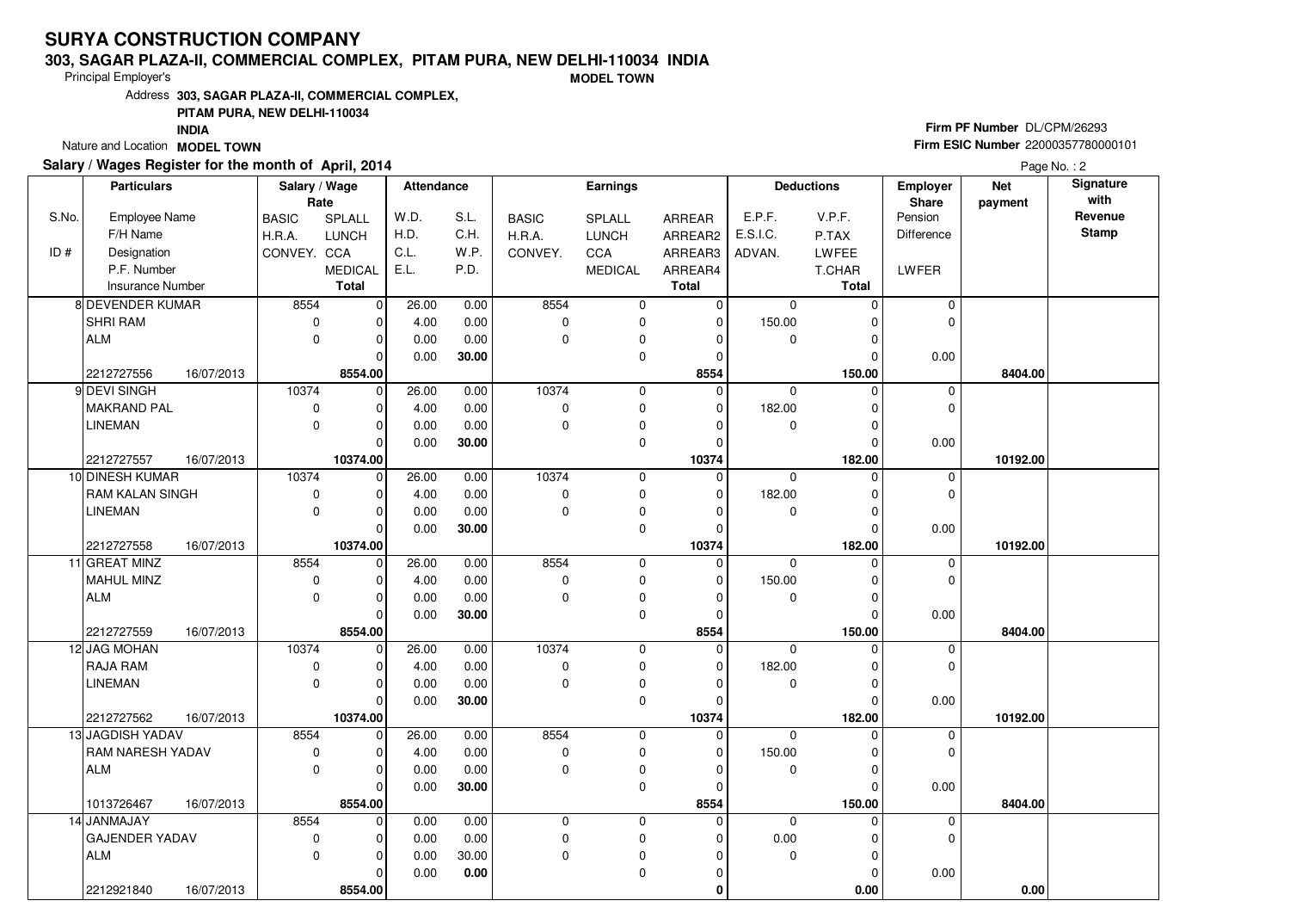### **303, SAGAR PLAZA-II, COMMERCIAL COMPLEX, PITAM PURA, NEW DELHI-110034 INDIA**

Principal Employer's

**MODEL TOWN**

Address**303, SAGAR PLAZA-II, COMMERCIAL COMPLEX,**

### **PITAM PURA, NEW DELHI-110034**

**INDIA**

Nature and Location **MODEL TOWN** 

## **Salary / Wages Register for the month of April, 2014**

# **Firm PF Number** DL/CPM/26293 **Firm ESIC Number** <sup>22000357780000101</sup>

|       | <b>Particulars</b>      |            | Salary / Wage |                | Attendance |                   |              | Earnings       |               |             | <b>Deductions</b> | <b>Employer</b>   | <b>Net</b> | Signature    |
|-------|-------------------------|------------|---------------|----------------|------------|-------------------|--------------|----------------|---------------|-------------|-------------------|-------------------|------------|--------------|
|       |                         |            | Rate          |                |            |                   |              |                |               |             |                   | <b>Share</b>      | payment    | with         |
| S.No. | Employee Name           |            | <b>BASIC</b>  | <b>SPLALL</b>  | W.D.       | S.L.              | <b>BASIC</b> | <b>SPLALL</b>  | <b>ARREAR</b> | E.P.F.      | V.P.F.            | Pension           |            | Revenue      |
|       | F/H Name                |            | H.R.A.        | <b>LUNCH</b>   | H.D.       | C.H.              | H.R.A.       | <b>LUNCH</b>   | ARREAR2       | E.S.I.C.    | P.TAX             | <b>Difference</b> |            | <b>Stamp</b> |
| ID#   | Designation             |            | CONVEY. CCA   |                | C.L.       | W.P.              | CONVEY.      | CCA            | ARREAR3       | ADVAN.      | LWFEE             |                   |            |              |
|       | P.F. Number             |            |               | <b>MEDICAL</b> | E.L.       | P.D.              |              | <b>MEDICAL</b> | ARREAR4       |             | T.CHAR            | LWFER             |            |              |
|       | <b>Insurance Number</b> |            |               | <b>Total</b>   |            |                   |              |                | <b>Total</b>  |             | <b>Total</b>      |                   |            |              |
|       | 8 DEVENDER KUMAR        |            | 8554          | $\overline{0}$ | 26.00      | 0.00              | 8554         | 0              | 0             | $\mathbf 0$ | 0                 | 0                 |            |              |
|       | SHRI RAM                |            | $\mathbf 0$   | $\overline{0}$ | 4.00       | 0.00              | $\mathbf 0$  | 0              | 0             | 150.00      | 0                 | $\mathbf 0$       |            |              |
|       | <b>ALM</b>              |            | $\mathbf 0$   | $\overline{0}$ | 0.00       | 0.00              | $\mathbf 0$  | $\pmb{0}$      | 0             | 0           | 0                 |                   |            |              |
|       |                         |            |               | 0              | 0.00       | 30.00             |              | 0              | 0             |             | $\mathbf 0$       | 0.00              |            |              |
|       | 2212727556              | 16/07/2013 |               | 8554.00        |            |                   |              |                | 8554          |             | 150.00            |                   | 8404.00    |              |
|       | 9 DEVI SINGH            |            | 10374         | $\overline{0}$ | 26.00      | 0.00              | 10374        | $\mathbf 0$    | $\mathbf 0$   | $\mathbf 0$ | $\mathbf 0$       | 0                 |            |              |
|       | <b>MAKRAND PAL</b>      |            | $\mathbf 0$   | $\overline{0}$ | 4.00       | 0.00              | $\pmb{0}$    | 0              | 0             | 182.00      | $\mathbf 0$       | $\mathbf 0$       |            |              |
|       | <b>LINEMAN</b>          |            | $\mathbf 0$   | 0              | 0.00       | 0.00              | $\mathbf 0$  | 0              | 0             | 0           | 0                 |                   |            |              |
|       |                         |            |               | 0              | 0.00       | 30.00             |              | 0              | 0             |             | 0                 | 0.00              |            |              |
|       | 2212727557              | 16/07/2013 |               | 10374.00       |            |                   |              |                | 10374         |             | 182.00            |                   | 10192.00   |              |
|       | 10 DINESH KUMAR         |            | 10374         | $\mathbf 0$    | 26.00      | 0.00              | 10374        | $\pmb{0}$      | 0             | $\mathbf 0$ | $\mathbf 0$       | 0                 |            |              |
|       | RAM KALAN SINGH         |            | $\pmb{0}$     | 0              | 4.00       | 0.00              | $\mathbf 0$  | $\pmb{0}$      | 0             | 182.00      | $\mathbf 0$       | $\mathbf 0$       |            |              |
|       | <b>LINEMAN</b>          |            | $\mathbf 0$   | 0              | 0.00       | 0.00              | $\mathbf 0$  | 0              | 0             | $\mathbf 0$ | 0                 |                   |            |              |
|       |                         |            |               | 0              | 0.00       | 30.00             |              | 0              | 0             |             | $\Omega$          | 0.00              |            |              |
|       | 2212727558              | 16/07/2013 |               | 10374.00       |            |                   |              |                | 10374         |             | 182.00            |                   | 10192.00   |              |
|       | 11 GREAT MINZ           |            | 8554          | $\overline{0}$ | 26.00      | 0.00              | 8554         | 0              | $\mathbf 0$   | $\mathbf 0$ | 0                 | 0                 |            |              |
|       | MAHUL MINZ              |            | $\mathbf 0$   | 0              | 4.00       | 0.00              | $\mathbf 0$  | 0              | 0             | 150.00      | $\mathbf 0$       | $\mathbf 0$       |            |              |
|       | <b>ALM</b>              |            | $\mathbf 0$   | 0              | 0.00       | 0.00              | $\mathbf 0$  | 0              | 0             | $\mathbf 0$ | $\mathbf 0$       |                   |            |              |
|       |                         |            |               | $\Omega$       | 0.00       | 30.00             |              | 0              | 0             |             | $\Omega$          | 0.00              |            |              |
|       | 2212727559              | 16/07/2013 |               | 8554.00        |            |                   |              |                | 8554          |             | 150.00            |                   | 8404.00    |              |
|       | 12 JAG MOHAN            |            | 10374         | $\mathbf 0$    | 26.00      | 0.00              | 10374        | $\mathbf 0$    | 0             | $\mathbf 0$ | $\Omega$          | $\pmb{0}$         |            |              |
|       | <b>RAJA RAM</b>         |            | 0             | 0              | 4.00       | 0.00              | $\pmb{0}$    | 0              | 0             | 182.00      | 0                 | $\mathbf 0$       |            |              |
|       | <b>LINEMAN</b>          |            | $\mathbf 0$   | 0              | 0.00       | 0.00              | $\mathbf 0$  | $\pmb{0}$      | 0             | 0           | $\mathbf 0$       |                   |            |              |
|       |                         |            |               | 0              | 0.00       | 30.00             |              | $\mathbf 0$    | 0             |             | $\Omega$          | 0.00              |            |              |
|       | 2212727562              | 16/07/2013 |               | 10374.00       |            |                   |              |                | 10374         |             | 182.00            |                   | 10192.00   |              |
|       | 13 JAGDISH YADAV        |            | 8554          | $\mathbf 0$    | 26.00      | $\overline{0.00}$ | 8554         | $\mathbf 0$    | 0             | $\mathbf 0$ | $\mathbf 0$       | 0                 |            |              |
|       | RAM NARESH YADAV        |            | $\mathbf 0$   | $\mathbf 0$    | 4.00       | 0.00              | $\pmb{0}$    | 0              | 0             | 150.00      | $\mathbf 0$       | $\mathbf 0$       |            |              |
|       | <b>ALM</b>              |            | $\mathbf 0$   | 0              | 0.00       | 0.00              | $\mathbf 0$  | 0              | 0             | 0           | 0                 |                   |            |              |
|       |                         |            |               | 0              | 0.00       | 30.00             |              | $\mathbf 0$    | 0             |             | $\Omega$          | 0.00              |            |              |
|       | 1013726467              | 16/07/2013 |               | 8554.00        |            |                   |              |                | 8554          |             | 150.00            |                   | 8404.00    |              |
|       | 14 JANMAJAY             |            | 8554          | 0              | 0.00       | 0.00              | $\mathbf 0$  | 0              | 0             | $\mathbf 0$ | $\mathbf 0$       | 0                 |            |              |
|       | <b>GAJENDER YADAV</b>   |            | $\mathbf 0$   | $\mathbf 0$    | 0.00       | 0.00              | $\pmb{0}$    | $\mathbf 0$    | 0             | 0.00        | $\mathbf 0$       | $\mathbf 0$       |            |              |
|       | <b>ALM</b>              |            | $\Omega$      | 0              | 0.00       | 30.00             | $\Omega$     | $\pmb{0}$      | 0             | 0           | 0                 |                   |            |              |
|       |                         |            |               | 0              | 0.00       | 0.00              |              | $\mathbf 0$    | 0             |             | 0                 | 0.00              |            |              |
|       | 2212921840              | 16/07/2013 |               | 8554.00        |            |                   |              |                | 0             |             | 0.00              |                   | 0.00       |              |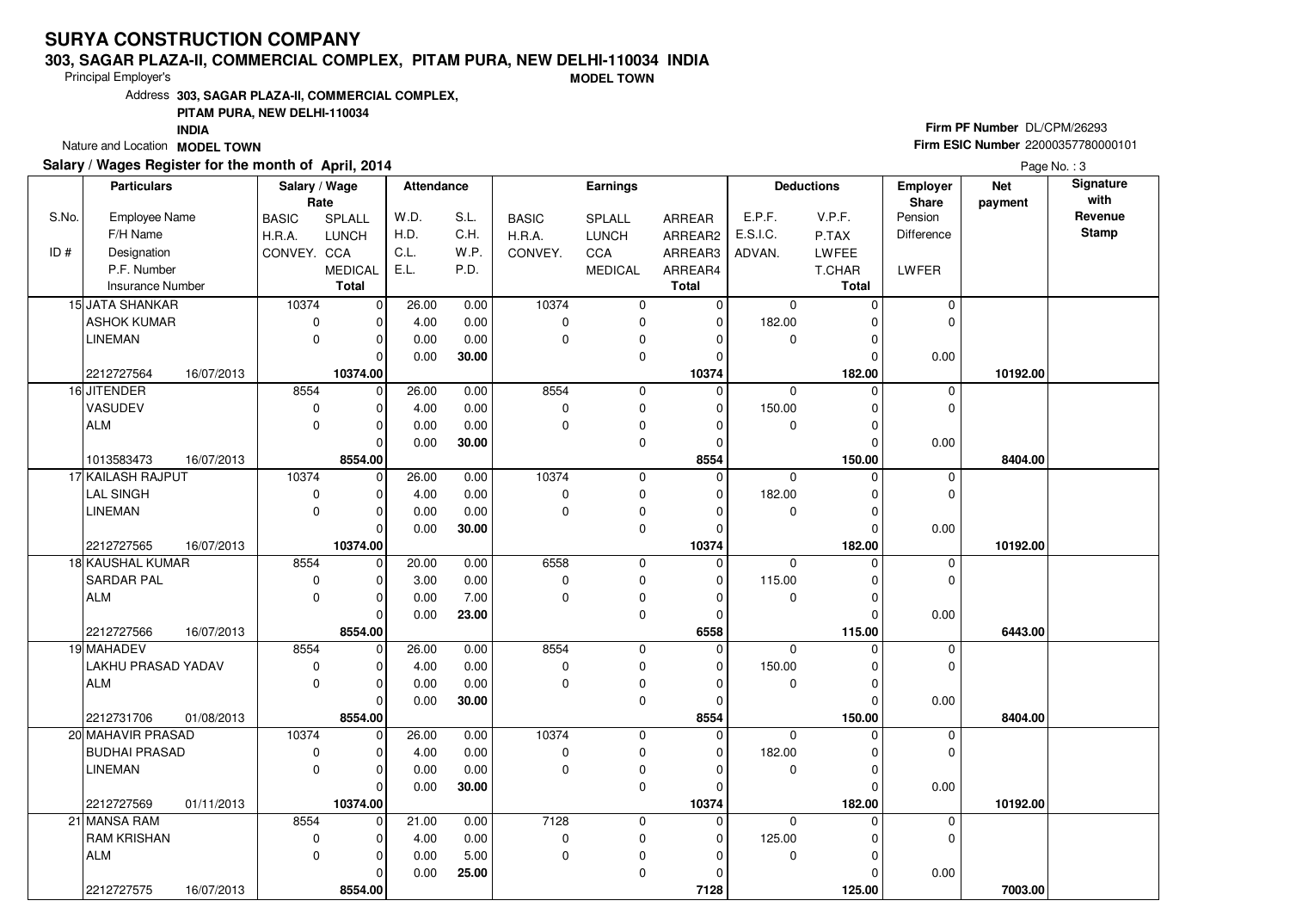### **303, SAGAR PLAZA-II, COMMERCIAL COMPLEX, PITAM PURA, NEW DELHI-110034 INDIA**

Principal Employer's

**MODEL TOWN**

Address**303, SAGAR PLAZA-II, COMMERCIAL COMPLEX,**

### **PITAM PURA, NEW DELHI-110034**

**INDIA**

Nature and Location **MODEL TOWN** 

## **Salary / Wages Register for the month of April, 2014**

# **Firm PF Number** DL/CPM/26293 **Firm ESIC Number** <sup>22000357780000101</sup>

|       | <b>Particulars</b>       | Salary / Wage |                | Attendance |       |              | Earnings       |              |             | <b>Deductions</b> | <b>Employer</b> | <b>Net</b> | Signature    |
|-------|--------------------------|---------------|----------------|------------|-------|--------------|----------------|--------------|-------------|-------------------|-----------------|------------|--------------|
|       |                          | Rate          |                |            |       |              |                |              |             |                   | <b>Share</b>    | payment    | with         |
| S.No. | Employee Name            | <b>BASIC</b>  | <b>SPLALL</b>  | W.D.       | S.L.  | <b>BASIC</b> | <b>SPLALL</b>  | ARREAR       | E.P.F.      | V.P.F.            | Pension         |            | Revenue      |
|       | F/H Name                 | H.R.A.        | <b>LUNCH</b>   | H.D.       | C.H.  | H.R.A.       | <b>LUNCH</b>   | ARREAR2      | E.S.I.C.    | P.TAX             | Difference      |            | <b>Stamp</b> |
| ID#   | Designation              | CONVEY. CCA   |                | C.L.       | W.P.  | CONVEY.      | CCA            | ARREAR3      | ADVAN.      | LWFEE             |                 |            |              |
|       | P.F. Number              |               | <b>MEDICAL</b> | E.L.       | P.D.  |              | <b>MEDICAL</b> | ARREAR4      |             | T.CHAR            | LWFER           |            |              |
|       | <b>Insurance Number</b>  |               | <b>Total</b>   |            |       |              |                | <b>Total</b> |             | <b>Total</b>      |                 |            |              |
|       | 15 JATA SHANKAR          | 10374         | $\overline{0}$ | 26.00      | 0.00  | 10374        | 0              | 0            | 0           | 0                 | 0               |            |              |
|       | <b>ASHOK KUMAR</b>       | $\mathbf 0$   | 0              | 4.00       | 0.00  | $\mathbf 0$  | 0              | 0            | 182.00      | 0                 | $\mathbf 0$     |            |              |
|       | <b>LINEMAN</b>           | $\mathbf 0$   | 0              | 0.00       | 0.00  | $\mathbf 0$  | $\mathbf 0$    | 0            | $\mathbf 0$ | 0                 |                 |            |              |
|       |                          |               | 0              | 0.00       | 30.00 |              | 0              | 0            |             | 0                 | 0.00            |            |              |
|       | 2212727564<br>16/07/2013 |               | 10374.00       |            |       |              |                | 10374        |             | 182.00            |                 | 10192.00   |              |
|       | 16 JITENDER              | 8554          | $\mathbf 0$    | 26.00      | 0.00  | 8554         | 0              | $\mathbf 0$  | $\mathbf 0$ | $\mathbf 0$       | 0               |            |              |
|       | VASUDEV                  | 0             | $\overline{0}$ | 4.00       | 0.00  | $\pmb{0}$    | $\pmb{0}$      | 0            | 150.00      | 0                 | $\pmb{0}$       |            |              |
|       | <b>ALM</b>               | $\mathbf 0$   | 0              | 0.00       | 0.00  | $\mathbf 0$  | $\pmb{0}$      | 0            | 0           | 0                 |                 |            |              |
|       |                          |               | 0              | 0.00       | 30.00 |              | $\mathbf 0$    | 0            |             | $\Omega$          | 0.00            |            |              |
|       | 1013583473<br>16/07/2013 |               | 8554.00        |            |       |              |                | 8554         |             | 150.00            |                 | 8404.00    |              |
|       | 17 KAILASH RAJPUT        | 10374         | $\mathbf 0$    | 26.00      | 0.00  | 10374        | $\pmb{0}$      | $\mathbf 0$  | $\mathbf 0$ | $\mathbf 0$       | 0               |            |              |
|       | <b>LAL SINGH</b>         | $\pmb{0}$     | $\overline{0}$ | 4.00       | 0.00  | $\mathbf 0$  | 0              | 0            | 182.00      | 0                 | $\mathbf 0$     |            |              |
|       | <b>LINEMAN</b>           | $\mathbf 0$   | $\overline{0}$ | 0.00       | 0.00  | $\mathbf 0$  | 0              | 0            | 0           | 0                 |                 |            |              |
|       |                          |               | 0              | 0.00       | 30.00 |              | 0              | 0            |             | 0                 | 0.00            |            |              |
|       | 2212727565<br>16/07/2013 |               | 10374.00       |            |       |              |                | 10374        |             | 182.00            |                 | 10192.00   |              |
|       | 18 KAUSHAL KUMAR         | 8554          | $\overline{0}$ | 20.00      | 0.00  | 6558         | 0              | $\mathbf 0$  | $\mathbf 0$ | $\Omega$          | 0               |            |              |
|       | <b>SARDAR PAL</b>        | $\mathbf 0$   | 0              | 3.00       | 0.00  | 0            | $\pmb{0}$      | 0            | 115.00      | $\mathbf 0$       | $\mathbf 0$     |            |              |
|       | <b>ALM</b>               | $\mathbf 0$   | 0              | 0.00       | 7.00  | $\mathbf 0$  | 0              | 0            | 0           | 0                 |                 |            |              |
|       |                          |               | $\Omega$       | 0.00       | 23.00 |              | $\mathbf 0$    | 0            |             | $\Omega$          | 0.00            |            |              |
|       | 2212727566<br>16/07/2013 |               | 8554.00        |            |       |              |                | 6558         |             | 115.00            |                 | 6443.00    |              |
|       | 19 MAHADEV               | 8554          | $\mathbf 0$    | 26.00      | 0.00  | 8554         | $\mathbf 0$    | $\mathbf 0$  | $\mathbf 0$ | $\Omega$          | $\mathbf 0$     |            |              |
|       | LAKHU PRASAD YADAV       | $\mathsf 0$   | 0              | 4.00       | 0.00  | $\mathbf 0$  | $\mathbf 0$    | 0            | 150.00      | $\mathbf 0$       | $\mathbf 0$     |            |              |
|       | <b>ALM</b>               | $\mathbf 0$   | $\mathbf 0$    | 0.00       | 0.00  | $\mathbf 0$  | $\pmb{0}$      | 0            | 0           | 0                 |                 |            |              |
|       |                          |               | 0              | 0.00       | 30.00 |              | $\mathbf 0$    | 0            |             | $\Omega$          | 0.00            |            |              |
|       | 2212731706<br>01/08/2013 |               | 8554.00        |            |       |              |                | 8554         |             | 150.00            |                 | 8404.00    |              |
|       | 20 MAHAVIR PRASAD        | 10374         | $\mathbf 0$    | 26.00      | 0.00  | 10374        | $\mathsf 0$    | 0            | $\mathbf 0$ | $\Omega$          | 0               |            |              |
|       | <b>BUDHAI PRASAD</b>     | 0             | 0              | 4.00       | 0.00  | 0            | $\pmb{0}$      | 0            | 182.00      | $\mathbf 0$       | $\mathbf 0$     |            |              |
|       | <b>LINEMAN</b>           | $\mathbf 0$   | 0              | 0.00       | 0.00  | $\mathbf 0$  | $\pmb{0}$      | 0            | $\mathbf 0$ | $\mathbf 0$       |                 |            |              |
|       |                          |               | 0              | 0.00       | 30.00 |              | $\mathbf 0$    | $\Omega$     |             | $\Omega$          | 0.00            |            |              |
|       | 2212727569<br>01/11/2013 |               | 10374.00       |            |       |              |                | 10374        |             | 182.00            |                 | 10192.00   |              |
|       | 21 MANSA RAM             | 8554          | $\mathbf 0$    | 21.00      | 0.00  | 7128         | $\mathbf 0$    | 0            | $\mathbf 0$ | $\Omega$          | $\pmb{0}$       |            |              |
|       | <b>RAM KRISHAN</b>       | $\mathbf 0$   | 0              | 4.00       | 0.00  | 0            | 0              | 0            | 125.00      | 0                 | $\mathbf 0$     |            |              |
|       | <b>ALM</b>               | $\mathbf 0$   | 0              | 0.00       | 5.00  | $\mathbf 0$  | $\pmb{0}$      | 0            | $\mathbf 0$ | 0                 |                 |            |              |
|       |                          |               | 0              | 0.00       | 25.00 |              | $\mathbf 0$    | 0            |             | $\Omega$          | 0.00            |            |              |
|       | 2212727575<br>16/07/2013 |               | 8554.00        |            |       |              |                | 7128         |             | 125.00            |                 | 7003.00    |              |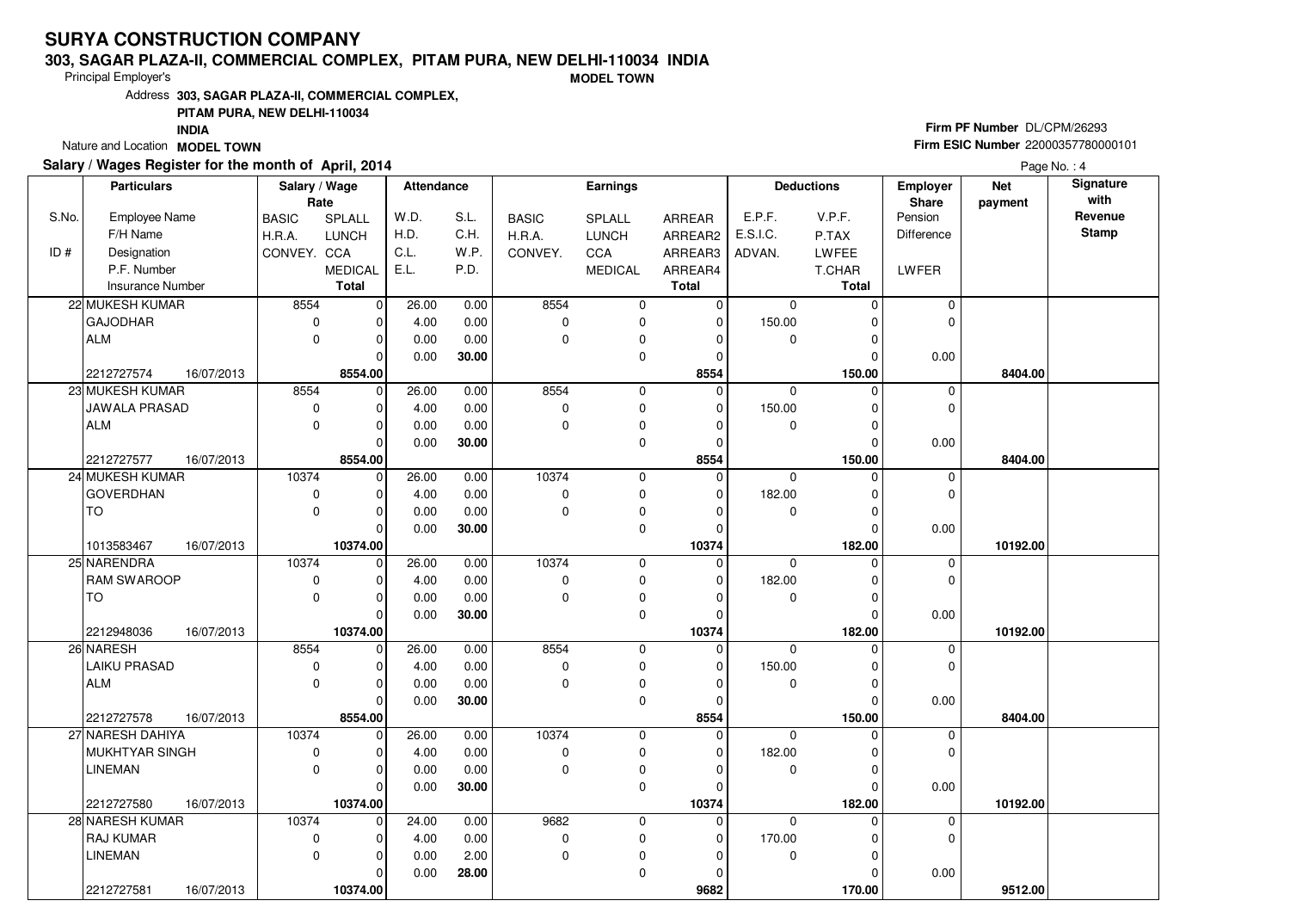### **303, SAGAR PLAZA-II, COMMERCIAL COMPLEX, PITAM PURA, NEW DELHI-110034 INDIA**

Principal Employer's

**MODEL TOWN**

Address**303, SAGAR PLAZA-II, COMMERCIAL COMPLEX,**

### **PITAM PURA, NEW DELHI-110034**

**INDIA**

Nature and Location **MODEL TOWN** 

### **Salary / Wages Register for the month of April, 2014**

# **Firm PF Number** DL/CPM/26293 **Firm ESIC Number** <sup>22000357780000101</sup>

|       | <b>Particulars</b>                  |            | Salary / Wage              |                                | Attendance    |              |              | <b>Earnings</b>            |                            |                       | <b>Deductions</b>    | Employer         | <b>Net</b> | Signature<br>with |
|-------|-------------------------------------|------------|----------------------------|--------------------------------|---------------|--------------|--------------|----------------------------|----------------------------|-----------------------|----------------------|------------------|------------|-------------------|
| S.No. | Employee Name                       |            | Rate                       |                                | W.D.          | S.L.         | <b>BASIC</b> |                            | <b>ARREAR</b>              | E.P.F.                | V.P.F.               | Share<br>Pension | payment    | Revenue           |
|       | F/H Name                            |            | <b>BASIC</b><br>H.R.A.     | SPLALL<br><b>LUNCH</b>         | H.D.          | C.H.         | H.R.A.       | SPLALL<br><b>LUNCH</b>     | ARREAR2                    | E.S.I.C.              | P.TAX                | Difference       |            | <b>Stamp</b>      |
| ID#   | Designation                         |            | CONVEY. CCA                |                                | C.L.          | W.P.         | CONVEY.      | CCA                        | ARREAR3                    | ADVAN.                | <b>LWFEE</b>         |                  |            |                   |
|       | P.F. Number                         |            |                            |                                | E.L.          | P.D.         |              |                            |                            |                       |                      |                  |            |                   |
|       | <b>Insurance Number</b>             |            |                            | <b>MEDICAL</b><br><b>Total</b> |               |              |              | <b>MEDICAL</b>             | ARREAR4<br><b>Total</b>    |                       | T.CHAR<br>Total      | LWFER            |            |                   |
|       | 22 MUKESH KUMAR                     |            | 8554                       |                                | 26.00         |              | 8554         |                            |                            | $\mathbf 0$           | $\Omega$             | $\mathbf 0$      |            |                   |
|       |                                     |            |                            | $\overline{0}$                 |               | 0.00         |              | $\mathbf 0$                | $\overline{0}$             |                       |                      | 0                |            |                   |
|       | <b>GAJODHAR</b>                     |            | $\mathbf 0$<br>$\Omega$    | 0                              | 4.00          | 0.00         | 0            | $\mathbf 0$                | $\mathbf 0$                | 150.00                | 0                    |                  |            |                   |
|       | <b>ALM</b>                          |            |                            | $\mathbf 0$                    | 0.00          | 0.00         | $\mathbf 0$  | $\mathbf 0$                | $\mathbf 0$                | $\mathbf{0}$          | 0                    |                  |            |                   |
|       |                                     |            |                            | $\Omega$                       | 0.00          | 30.00        |              | 0                          | 0                          |                       | O                    | 0.00             |            |                   |
|       | 2212727574                          | 16/07/2013 | 8554                       | 8554.00                        | 26.00         |              | 8554         |                            | 8554<br>$\mathbf{0}$       |                       | 150.00               |                  | 8404.00    |                   |
|       | 23 MUKESH KUMAR                     |            |                            | $\mathbf 0$                    |               | 0.00         |              | 0                          |                            | $\mathbf 0$           | $\Omega$             | $\mathbf 0$      |            |                   |
|       | JAWALA PRASAD                       |            | $\mathbf 0$                | 0                              | 4.00          | 0.00         | 0            | $\pmb{0}$                  | 0                          | 150.00                | 0                    | $\mathbf 0$      |            |                   |
|       | <b>ALM</b>                          |            | $\mathbf 0$                | $\mathbf 0$                    | 0.00          | 0.00         | $\mathbf 0$  | $\mathbf 0$                | $\mathbf 0$                | $\mathbf{0}$          | $\Omega$<br>$\Omega$ |                  |            |                   |
|       |                                     |            |                            | $\mathbf 0$                    | 0.00          | 30.00        |              | $\pmb{0}$                  | 0                          |                       |                      | 0.00             |            |                   |
|       | 2212727577                          | 16/07/2013 | 10374                      | 8554.00                        |               |              | 10374        |                            | 8554                       |                       | 150.00               |                  | 8404.00    |                   |
|       | 24 MUKESH KUMAR<br><b>GOVERDHAN</b> |            |                            | $\mathbf 0$                    | 26.00<br>4.00 | 0.00<br>0.00 | 0            | 0                          | $\mathbf 0$<br>$\mathbf 0$ | $\mathbf 0$           | 0                    | 0<br>0           |            |                   |
|       | <b>TO</b>                           |            | $\mathbf 0$<br>$\mathbf 0$ | 0<br>$\mathbf 0$               | 0.00          | 0.00         | $\mathbf 0$  | $\mathbf 0$<br>$\mathbf 0$ | $\mathbf 0$                | 182.00<br>$\mathbf 0$ | 0<br>$\Omega$        |                  |            |                   |
|       |                                     |            |                            | $\mathbf 0$                    |               |              |              |                            | $\mathbf 0$                |                       | $\Omega$             |                  |            |                   |
|       | 1013583467                          | 16/07/2013 |                            | 10374.00                       | 0.00          | 30.00        |              | $\mathsf 0$                | 10374                      |                       | 182.00               | 0.00             | 10192.00   |                   |
|       | 25 NARENDRA                         |            | 10374                      | $\mathbf 0$                    | 26.00         | 0.00         | 10374        | $\mathbf 0$                | $\mathbf 0$                | $\Omega$              | $\Omega$             | 0                |            |                   |
|       | <b>RAM SWAROOP</b>                  |            | $\mathbf 0$                | 0                              | 4.00          | 0.00         | 0            | 0                          | 0                          | 182.00                | 0                    | $\mathbf 0$      |            |                   |
|       | <b>TO</b>                           |            | $\mathbf 0$                | $\mathbf 0$                    | 0.00          | 0.00         | $\mathbf 0$  | $\pmb{0}$                  | $\mathbf 0$                | $\mathbf 0$           | 0                    |                  |            |                   |
|       |                                     |            |                            | $\mathbf 0$                    | 0.00          | 30.00        |              | 0                          | $\mathbf 0$                |                       | 0                    | 0.00             |            |                   |
|       | 2212948036                          | 16/07/2013 |                            | 10374.00                       |               |              |              |                            | 10374                      |                       | 182.00               |                  | 10192.00   |                   |
|       | 26 NARESH                           |            | 8554                       | $\mathbf 0$                    | 26.00         | 0.00         | 8554         | $\mathbf 0$                | $\mathbf 0$                | $\Omega$              |                      | 0                |            |                   |
|       | <b>LAIKU PRASAD</b>                 |            | $\mathbf 0$                | $\mathbf 0$                    | 4.00          | 0.00         | 0            | $\pmb{0}$                  | $\mathbf 0$                | 150.00                | 0                    | 0                |            |                   |
|       | <b>ALM</b>                          |            | $\Omega$                   | $\mathbf 0$                    | 0.00          | 0.00         | $\mathbf{0}$ | $\mathbf 0$                | 0                          | $\Omega$              | $\Omega$             |                  |            |                   |
|       |                                     |            |                            | $\mathbf 0$                    | 0.00          | 30.00        |              | 0                          | 0                          |                       | 0                    | 0.00             |            |                   |
|       | 2212727578                          | 16/07/2013 |                            | 8554.00                        |               |              |              |                            | 8554                       |                       | 150.00               |                  | 8404.00    |                   |
|       | 27 NARESH DAHIYA                    |            | 10374                      | $\mathbf 0$                    | 26.00         | 0.00         | 10374        | $\mathbf 0$                | $\mathbf 0$                | $\Omega$              | O                    | 0                |            |                   |
|       | MUKHTYAR SINGH                      |            | $\mathbf 0$                | $\mathbf 0$                    | 4.00          | 0.00         | 0            | $\pmb{0}$                  | $\mathbf 0$                | 182.00                | 0                    | 0                |            |                   |
|       | <b>LINEMAN</b>                      |            | $\mathbf 0$                | $\mathbf 0$                    | 0.00          | 0.00         | $\mathbf 0$  | $\pmb{0}$                  | $\mathbf 0$                | $\mathbf 0$           | 0                    |                  |            |                   |
|       |                                     |            |                            | $\mathbf 0$                    | 0.00          | 30.00        |              | 0                          | $\mathbf 0$                |                       | $\Omega$             | 0.00             |            |                   |
|       | 2212727580                          | 16/07/2013 |                            | 10374.00                       |               |              |              |                            | 10374                      |                       | 182.00               |                  | 10192.00   |                   |
|       | 28 NARESH KUMAR                     |            | 10374                      | $\mathbf 0$                    | 24.00         | 0.00         | 9682         | $\mathbf 0$                | $\mathbf 0$                | $\Omega$              |                      | 0                |            |                   |
|       | <b>RAJ KUMAR</b>                    |            | $\mathbf 0$                | 0                              | 4.00          | 0.00         | $\pmb{0}$    | $\pmb{0}$                  | 0                          | 170.00                | 0                    | 0                |            |                   |
|       | <b>LINEMAN</b>                      |            | $\mathbf 0$                | 0                              | 0.00          | 2.00         | $\mathbf 0$  | $\mathbf 0$                | $\mathbf 0$                | $\mathbf 0$           | $\Omega$             |                  |            |                   |
|       |                                     |            |                            | 0                              | 0.00          | 28.00        |              | $\mathbf 0$                | 0                          |                       | 0                    | 0.00             |            |                   |
|       | 2212727581                          | 16/07/2013 |                            | 10374.00                       |               |              |              |                            | 9682                       |                       | 170.00               |                  | 9512.00    |                   |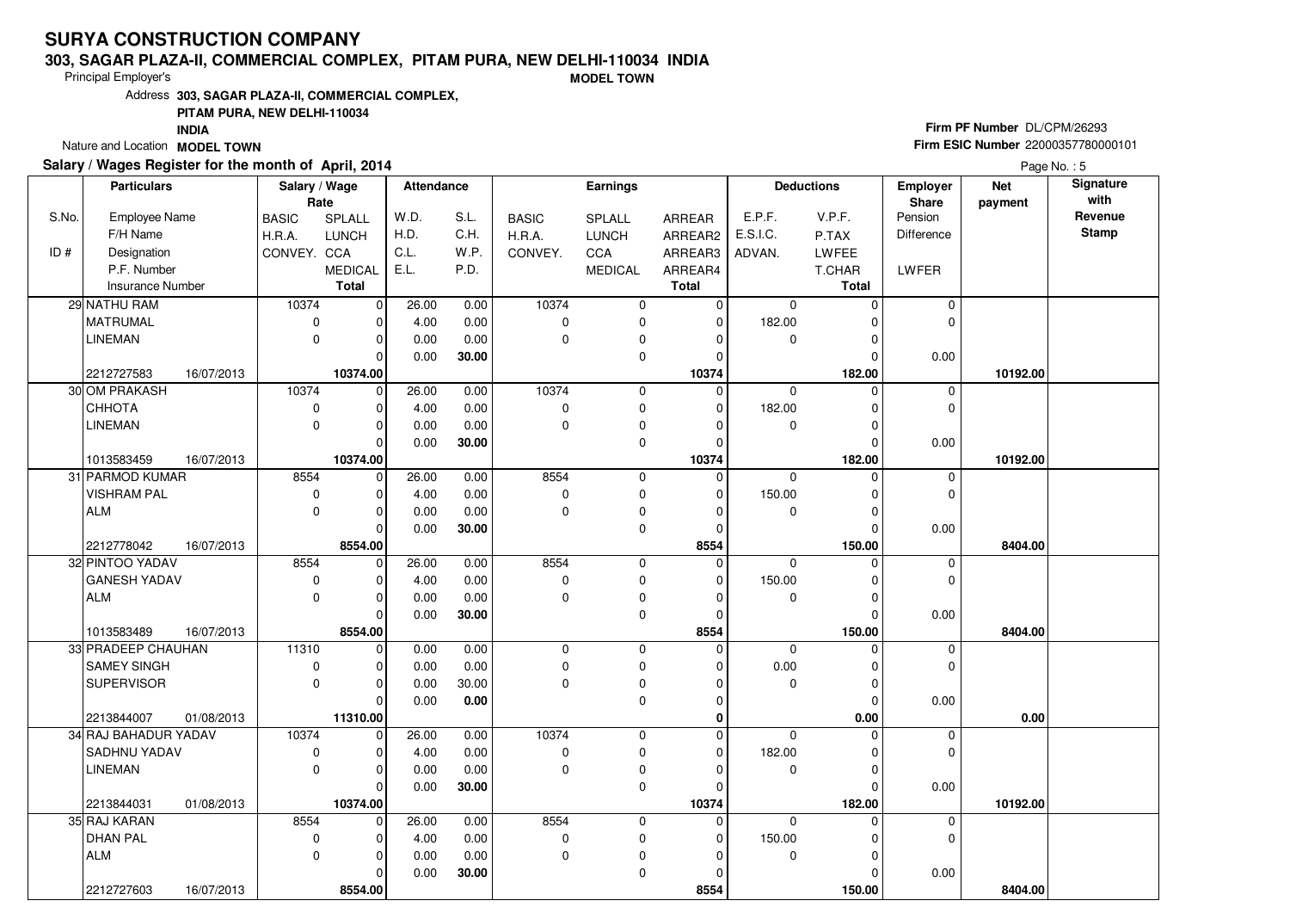### **303, SAGAR PLAZA-II, COMMERCIAL COMPLEX, PITAM PURA, NEW DELHI-110034 INDIA**

Principal Employer's

**MODEL TOWN**

Address**303, SAGAR PLAZA-II, COMMERCIAL COMPLEX,**

### **PITAM PURA, NEW DELHI-110034**

**INDIA**

Nature and Location **MODEL TOWN** 

### **Salary / Wages Register for the month of April, 2014**

# **Firm PF Number** DL/CPM/26293 **Firm ESIC Number** <sup>22000357780000101</sup>

|       | <b>Particulars</b>       | Salary / Wage |                | Attendance |       |              | <b>Earnings</b> |               |             | <b>Deductions</b> | <b>Employer</b>   | <b>Net</b> | Signature    |
|-------|--------------------------|---------------|----------------|------------|-------|--------------|-----------------|---------------|-------------|-------------------|-------------------|------------|--------------|
|       |                          | Rate          |                |            |       |              |                 |               |             |                   | <b>Share</b>      | payment    | with         |
| S.No. | Employee Name            | <b>BASIC</b>  | <b>SPLALL</b>  | W.D.       | S.L.  | <b>BASIC</b> | <b>SPLALL</b>   | <b>ARREAR</b> | E.P.F.      | V.P.F.            | Pension           |            | Revenue      |
|       | F/H Name                 | H.R.A.        | <b>LUNCH</b>   | H.D.       | C.H.  | H.R.A.       | <b>LUNCH</b>    | ARREAR2       | E.S.I.C.    | P.TAX             | <b>Difference</b> |            | <b>Stamp</b> |
| ID#   | Designation              | CONVEY. CCA   |                | C.L.       | W.P.  | CONVEY.      | CCA             | ARREAR3       | ADVAN.      | LWFEE             |                   |            |              |
|       | P.F. Number              |               | <b>MEDICAL</b> | E.L.       | P.D.  |              | <b>MEDICAL</b>  | ARREAR4       |             | T.CHAR            | LWFER             |            |              |
|       | <b>Insurance Number</b>  |               | <b>Total</b>   |            |       |              |                 | <b>Total</b>  |             | <b>Total</b>      |                   |            |              |
|       | 29 NATHU RAM             | 10374         | $\overline{0}$ | 26.00      | 0.00  | 10374        | 0               | 0             | $\mathbf 0$ | 0                 | 0                 |            |              |
|       | <b>MATRUMAL</b>          | $\mathbf 0$   | $\overline{0}$ | 4.00       | 0.00  | $\mathbf 0$  | 0               | 0             | 182.00      | 0                 | $\mathbf 0$       |            |              |
|       | <b>LINEMAN</b>           | $\mathbf 0$   | $\overline{0}$ | 0.00       | 0.00  | $\mathbf 0$  | $\pmb{0}$       | 0             | 0           | 0                 |                   |            |              |
|       |                          |               | 0              | 0.00       | 30.00 |              | 0               | 0             |             | $\mathbf 0$       | 0.00              |            |              |
|       | 2212727583<br>16/07/2013 |               | 10374.00       |            |       |              |                 | 10374         |             | 182.00            |                   | 10192.00   |              |
|       | 30 OM PRAKASH            | 10374         | $\overline{0}$ | 26.00      | 0.00  | 10374        | 0               | 0             | $\mathbf 0$ | $\mathbf 0$       | 0                 |            |              |
|       | СННОТА                   | $\mathbf 0$   | $\overline{0}$ | 4.00       | 0.00  | $\pmb{0}$    | 0               | 0             | 182.00      | $\mathbf 0$       | $\mathbf 0$       |            |              |
|       | <b>LINEMAN</b>           | $\mathbf 0$   | 0              | 0.00       | 0.00  | $\mathbf 0$  | 0               | 0             | 0           | 0                 |                   |            |              |
|       |                          |               | 0              | 0.00       | 30.00 |              | 0               | 0             |             | 0                 | 0.00              |            |              |
|       | 16/07/2013<br>1013583459 |               | 10374.00       |            |       |              |                 | 10374         |             | 182.00            |                   | 10192.00   |              |
|       | 31 PARMOD KUMAR          | 8554          | $\mathbf 0$    | 26.00      | 0.00  | 8554         | $\pmb{0}$       | 0             | $\mathbf 0$ | $\mathbf 0$       | 0                 |            |              |
|       | <b>VISHRAM PAL</b>       | 0             | 0              | 4.00       | 0.00  | $\mathbf 0$  | $\mathbf 0$     | 0             | 150.00      | $\mathbf 0$       | $\mathbf 0$       |            |              |
|       | <b>ALM</b>               | $\Omega$      | 0              | 0.00       | 0.00  | $\mathbf 0$  | 0               | 0             | $\mathbf 0$ | 0                 |                   |            |              |
|       |                          |               | 0              | 0.00       | 30.00 |              | 0               | 0             |             | $\Omega$          | 0.00              |            |              |
|       | 2212778042<br>16/07/2013 |               | 8554.00        |            |       |              |                 | 8554          |             | 150.00            |                   | 8404.00    |              |
|       | 32 PINTOO YADAV          | 8554          | $\mathbf 0$    | 26.00      | 0.00  | 8554         | 0               | $\mathbf 0$   | $\mathbf 0$ | $\mathbf 0$       | 0                 |            |              |
|       | <b>GANESH YADAV</b>      | $\mathbf 0$   | 0              | 4.00       | 0.00  | $\mathbf 0$  | 0               | 0             | 150.00      | $\mathbf 0$       | $\mathbf 0$       |            |              |
|       | <b>ALM</b>               | $\mathbf 0$   | 0              | 0.00       | 0.00  | $\mathbf 0$  | 0               | 0             | $\mathbf 0$ | $\mathbf 0$       |                   |            |              |
|       |                          |               | 0              | 0.00       | 30.00 |              | 0               | 0             |             | $\Omega$          | 0.00              |            |              |
|       | 1013583489<br>16/07/2013 |               | 8554.00        |            |       |              |                 | 8554          |             | 150.00            |                   | 8404.00    |              |
|       | 33 PRADEEP CHAUHAN       | 11310         | $\overline{0}$ | 0.00       | 0.00  | $\pmb{0}$    | $\mathbf 0$     | 0             | $\mathbf 0$ | $\Omega$          | $\pmb{0}$         |            |              |
|       | <b>SAMEY SINGH</b>       | 0             | 0              | 0.00       | 0.00  | $\mathbf 0$  | $\pmb{0}$       | 0             | 0.00        | 0                 | $\mathbf{0}$      |            |              |
|       | <b>SUPERVISOR</b>        | $\mathbf 0$   | 0              | 0.00       | 30.00 | $\mathbf 0$  | $\pmb{0}$       | 0             | 0           | 0                 |                   |            |              |
|       |                          |               | 0              | 0.00       | 0.00  |              | $\mathbf 0$     | 0             |             | $\Omega$          | 0.00              |            |              |
|       | 2213844007<br>01/08/2013 |               | 11310.00       |            |       |              |                 | 0             |             | 0.00              |                   | 0.00       |              |
|       | 34 RAJ BAHADUR YADAV     | 10374         | $\mathbf 0$    | 26.00      | 0.00  | 10374        | $\mathbf 0$     | 0             | $\mathbf 0$ | $\Omega$          | 0                 |            |              |
|       | SADHNU YADAV             | $\mathbf 0$   | 0              | 4.00       | 0.00  | 0            | 0               | 0             | 182.00      | $\mathbf 0$       | $\mathbf 0$       |            |              |
|       | <b>LINEMAN</b>           | $\mathbf 0$   | 0              | 0.00       | 0.00  | $\mathbf 0$  | 0               | 0             | 0           | 0                 |                   |            |              |
|       |                          |               | 0              | 0.00       | 30.00 |              | $\mathbf 0$     | 0             |             | $\Omega$          | 0.00              |            |              |
|       | 2213844031<br>01/08/2013 |               | 10374.00       |            |       |              |                 | 10374         |             | 182.00            |                   | 10192.00   |              |
|       | 35 RAJ KARAN             | 8554          | $\mathbf 0$    | 26.00      | 0.00  | 8554         | 0               | 0             | $\Omega$    | $\mathbf 0$       | 0                 |            |              |
|       | <b>DHAN PAL</b>          | $\mathbf 0$   | $\mathbf 0$    | 4.00       | 0.00  | $\mathbf 0$  | $\mathbf 0$     | 0             | 150.00      | $\mathbf 0$       | $\mathbf 0$       |            |              |
|       | <b>ALM</b>               | $\Omega$      | 0              | 0.00       | 0.00  | $\Omega$     | $\pmb{0}$       | 0             | 0           | $\Omega$          |                   |            |              |
|       |                          |               | 0              | 0.00       | 30.00 |              | $\mathbf 0$     | 0             |             | 0                 | 0.00              |            |              |
|       | 2212727603<br>16/07/2013 |               | 8554.00        |            |       |              |                 | 8554          |             | 150.00            |                   | 8404.00    |              |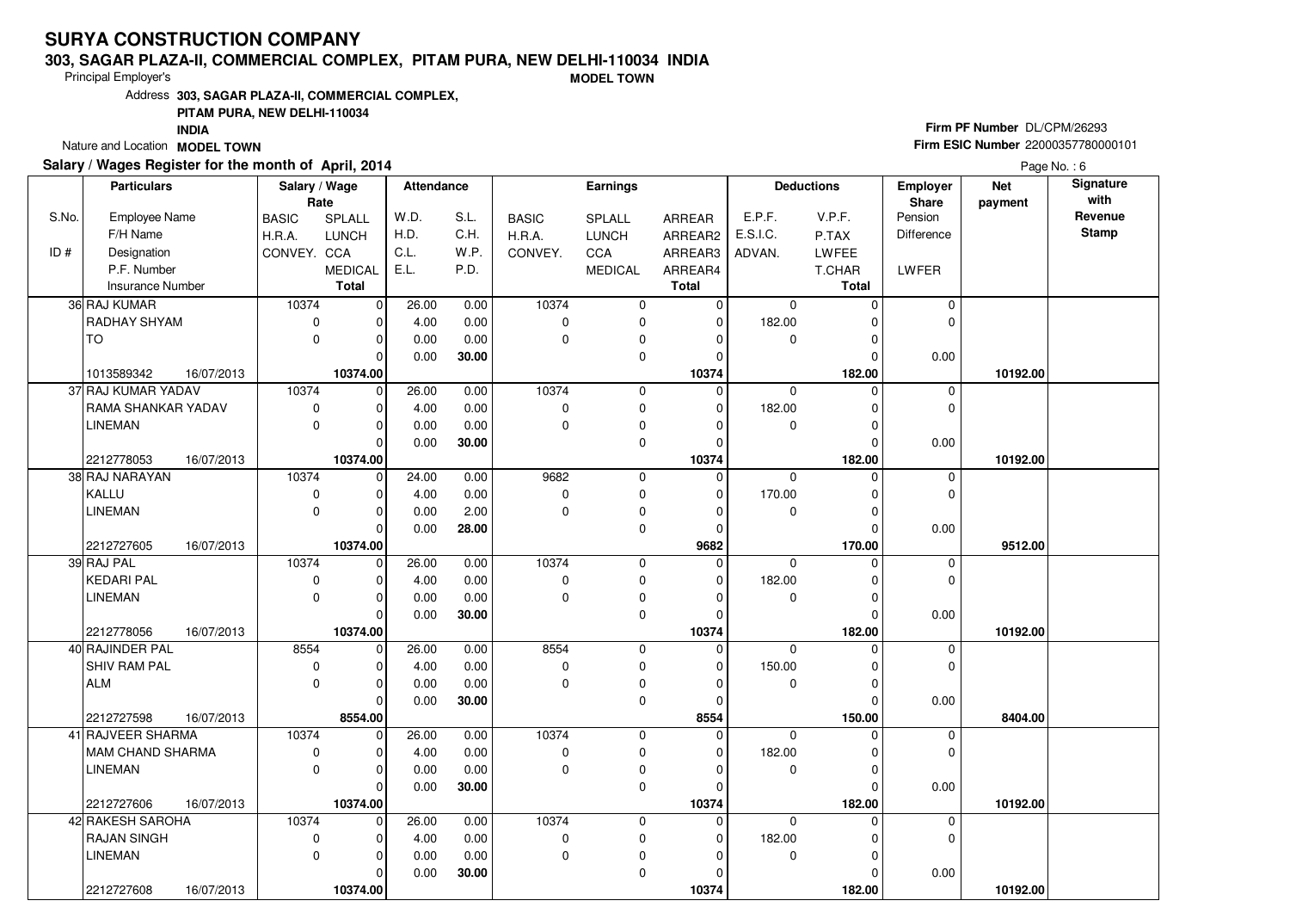### **303, SAGAR PLAZA-II, COMMERCIAL COMPLEX, PITAM PURA, NEW DELHI-110034 INDIA**

Principal Employer's

**MODEL TOWN**

Address**303, SAGAR PLAZA-II, COMMERCIAL COMPLEX,**

### **PITAM PURA, NEW DELHI-110034**

**INDIA**

Nature and Location **MODEL TOWN** 

## **Salary / Wages Register for the month of April, 2014**

# **Firm PF Number** DL/CPM/26293 **Firm ESIC Number** <sup>22000357780000101</sup>

|       | <b>Particulars</b>      |            | Salary / Wage |                | <b>Attendance</b> |       |              | <b>Earnings</b> |                |             | <b>Deductions</b> | <b>Employer</b> | <b>Net</b> | Signature    |
|-------|-------------------------|------------|---------------|----------------|-------------------|-------|--------------|-----------------|----------------|-------------|-------------------|-----------------|------------|--------------|
|       |                         |            | Rate          |                |                   |       |              |                 |                |             |                   | <b>Share</b>    | payment    | with         |
| S.No. | Employee Name           |            | <b>BASIC</b>  | <b>SPLALL</b>  | W.D.              | S.L.  | <b>BASIC</b> | SPLALL          | ARREAR         | E.P.F.      | V.P.F.            | Pension         |            | Revenue      |
|       | F/H Name                |            | H.R.A.        | <b>LUNCH</b>   | H.D.              | C.H.  | H.R.A.       | <b>LUNCH</b>    | ARREAR2        | E.S.I.C.    | P.TAX             | Difference      |            | <b>Stamp</b> |
| ID#   | Designation             |            | CONVEY. CCA   |                | C.L.              | W.P.  | CONVEY.      | CCA             | ARREAR3        | ADVAN.      | <b>LWFEE</b>      |                 |            |              |
|       | P.F. Number             |            |               | <b>MEDICAL</b> | E.L.              | P.D.  |              | <b>MEDICAL</b>  | ARREAR4        |             | T.CHAR            | LWFER           |            |              |
|       | Insurance Number        |            |               | <b>Total</b>   |                   |       |              |                 | <b>Total</b>   |             | <b>Total</b>      |                 |            |              |
|       | 36 RAJ KUMAR            |            | 10374         | $\overline{0}$ | 26.00             | 0.00  | 10374        | 0               | 0              | 0           | 0                 | 0               |            |              |
|       | RADHAY SHYAM            |            | $\mathbf 0$   | 0              | 4.00              | 0.00  | $\mathbf 0$  | 0               | 0              | 182.00      | 0                 | $\mathbf 0$     |            |              |
|       | TO                      |            | $\Omega$      | 0              | 0.00              | 0.00  | $\mathbf 0$  | 0               | 0              | $\mathbf 0$ | 0                 |                 |            |              |
|       |                         |            |               | 0              | 0.00              | 30.00 |              | 0               | 0              |             | 0                 | 0.00            |            |              |
|       | 1013589342              | 16/07/2013 |               | 10374.00       |                   |       |              |                 | 10374          |             | 182.00            |                 | 10192.00   |              |
|       | 37 RAJ KUMAR YADAV      |            | 10374         | 0              | 26.00             | 0.00  | 10374        | 0               | $\mathbf 0$    | $\mathbf 0$ | $\mathbf 0$       | 0               |            |              |
|       | RAMA SHANKAR YADAV      |            | $\mathbf 0$   | 0              | 4.00              | 0.00  | $\mathbf 0$  | $\mathbf 0$     | 0              | 182.00      | $\mathbf 0$       | $\mathbf 0$     |            |              |
|       | LINEMAN                 |            | $\mathbf 0$   | 0              | 0.00              | 0.00  | $\mathbf 0$  | 0               | 0              | 0           | 0                 |                 |            |              |
|       |                         |            |               | $\Omega$       | 0.00              | 30.00 |              | 0               | $\overline{0}$ |             | $\Omega$          | 0.00            |            |              |
|       | 2212778053              | 16/07/2013 |               | 10374.00       |                   |       |              |                 | 10374          |             | 182.00            |                 | 10192.00   |              |
|       | 38 RAJ NARAYAN          |            | 10374         | $\mathbf 0$    | 24.00             | 0.00  | 9682         | 0               | 0              | $\mathbf 0$ | 0                 | 0               |            |              |
|       | KALLU                   |            | $\mathbf 0$   | 0              | 4.00              | 0.00  | $\pmb{0}$    | $\mathbf 0$     | 0              | 170.00      | $\mathbf 0$       | $\mathbf{0}$    |            |              |
|       | <b>LINEMAN</b>          |            | $\mathbf 0$   | 0              | 0.00              | 2.00  | $\mathbf 0$  | $\pmb{0}$       | 0              | 0           | $\mathbf 0$       |                 |            |              |
|       |                         |            |               | $\Omega$       | 0.00              | 28.00 |              | $\mathbf 0$     | 0              |             | $\Omega$          | 0.00            |            |              |
|       | 2212727605              | 16/07/2013 |               | 10374.00       |                   |       |              |                 | 9682           |             | 170.00            |                 | 9512.00    |              |
|       | 39 RAJ PAL              |            | 10374         | $\mathbf 0$    | 26.00             | 0.00  | 10374        | $\mathbf 0$     | 0              | $\mathbf 0$ | $\mathbf 0$       | 0               |            |              |
|       | <b>KEDARI PAL</b>       |            | 0             | 0              | 4.00              | 0.00  | 0            | 0               | 0              | 182.00      | $\mathbf 0$       | $\mathbf 0$     |            |              |
|       | <b>LINEMAN</b>          |            | $\mathbf 0$   | 0              | 0.00              | 0.00  | $\mathbf 0$  | $\pmb{0}$       | 0              | 0           | 0                 |                 |            |              |
|       |                         |            |               | 0              | 0.00              | 30.00 |              | $\mathbf 0$     | $\overline{0}$ |             | $\Omega$          | 0.00            |            |              |
|       | 2212778056              | 16/07/2013 |               | 10374.00       |                   |       |              |                 | 10374          |             | 182.00            |                 | 10192.00   |              |
|       | 40 RAJINDER PAL         |            | 8554          | $\mathbf 0$    | 26.00             | 0.00  | 8554         | $\mathbf 0$     | 0              | $\Omega$    | $\Omega$          | 0               |            |              |
|       | SHIV RAM PAL            |            | 0             | $\Omega$       | 4.00              | 0.00  | 0            | 0               | 0              | 150.00      | $\Omega$          | $\Omega$        |            |              |
|       | <b>ALM</b>              |            | $\Omega$      | 0              | 0.00              | 0.00  | $\Omega$     | 0               | 0              | $\mathbf 0$ | $\mathbf 0$       |                 |            |              |
|       |                         |            |               | $\mathbf 0$    | 0.00              | 30.00 |              | $\mathbf 0$     | 0              |             | $\Omega$          | 0.00            |            |              |
|       | 2212727598              | 16/07/2013 |               | 8554.00        |                   |       |              |                 | 8554           |             | 150.00            |                 | 8404.00    |              |
|       | 41 RAJVEER SHARMA       |            | 10374         | $\mathbf 0$    | 26.00             | 0.00  | 10374        | $\mathbf 0$     | 0              | $\mathbf 0$ | $\Omega$          | $\mathbf 0$     |            |              |
|       | <b>MAM CHAND SHARMA</b> |            | $\mathbf 0$   | 0              | 4.00              | 0.00  | 0            | 0               | 0              | 182.00      | $\mathbf 0$       | $\mathbf 0$     |            |              |
|       | LINEMAN                 |            | $\mathbf 0$   | 0              | 0.00              | 0.00  | $\mathbf 0$  | $\pmb{0}$       | 0              | $\mathbf 0$ | $\Omega$          |                 |            |              |
|       |                         |            |               | $\Omega$       | 0.00              | 30.00 |              | 0               | $\Omega$       |             | $\Omega$          | 0.00            |            |              |
|       | 2212727606              | 16/07/2013 |               | 10374.00       |                   |       |              |                 | 10374          |             | 182.00            |                 | 10192.00   |              |
|       | 42 RAKESH SAROHA        |            | 10374         | $\mathbf 0$    | 26.00             | 0.00  | 10374        | $\mathbf 0$     | 0              | $\Omega$    | $\Omega$          | 0               |            |              |
|       | <b>RAJAN SINGH</b>      |            | $\mathbf 0$   | 0              | 4.00              | 0.00  | $\pmb{0}$    | 0               | 0              | 182.00      | 0                 | $\mathbf 0$     |            |              |
|       | <b>LINEMAN</b>          |            | $\Omega$      | 0              | 0.00              | 0.00  | $\mathbf 0$  | $\mathbf 0$     | 0              | $\mathbf 0$ | $\mathbf 0$       |                 |            |              |
|       |                         |            |               | 0              | 0.00              | 30.00 |              | 0               | 0              |             | 0                 | 0.00            |            |              |
|       | 2212727608              | 16/07/2013 |               | 10374.00       |                   |       |              |                 | 10374          |             | 182.00            |                 | 10192.00   |              |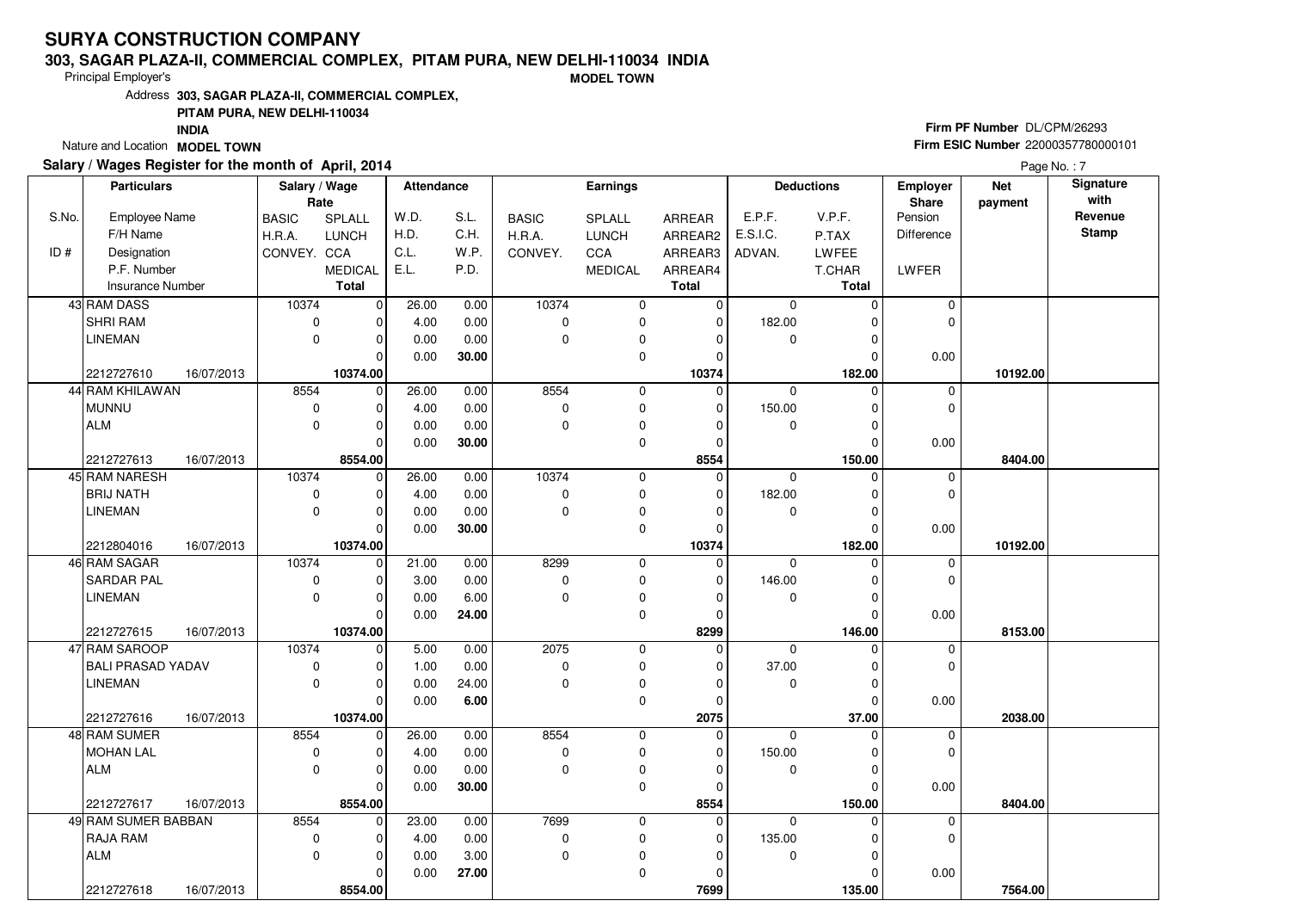### **303, SAGAR PLAZA-II, COMMERCIAL COMPLEX, PITAM PURA, NEW DELHI-110034 INDIA**

Principal Employer's

**MODEL TOWN**

Address**303, SAGAR PLAZA-II, COMMERCIAL COMPLEX,**

### **PITAM PURA, NEW DELHI-110034**

**INDIA**

Nature and Location **MODEL TOWN** 

## **Salary / Wages Register for the month of April, 2014**

# **Firm PF Number** DL/CPM/26293 **Firm ESIC Number** <sup>22000357780000101</sup>

|       | <b>Particulars</b>       |            | Salary / Wage |                | <b>Attendance</b> |       |              | <b>Earnings</b> |              |             | <b>Deductions</b> | <b>Employer</b>   | <b>Net</b> | Signature    |
|-------|--------------------------|------------|---------------|----------------|-------------------|-------|--------------|-----------------|--------------|-------------|-------------------|-------------------|------------|--------------|
|       |                          |            | Rate          |                |                   |       |              |                 |              |             |                   | <b>Share</b>      | payment    | with         |
| S.No. | Employee Name            |            | <b>BASIC</b>  | <b>SPLALL</b>  | W.D.              | S.L.  | <b>BASIC</b> | <b>SPLALL</b>   | ARREAR       | E.P.F.      | V.P.F.            | Pension           |            | Revenue      |
|       | F/H Name                 |            | H.R.A.        | <b>LUNCH</b>   | H.D.              | C.H.  | H.R.A.       | <b>LUNCH</b>    | ARREAR2      | E.S.I.C.    | P.TAX             | <b>Difference</b> |            | <b>Stamp</b> |
| ID#   | Designation              |            | CONVEY. CCA   |                | C.L.              | W.P.  | CONVEY.      | CCA             | ARREAR3      | ADVAN.      | LWFEE             |                   |            |              |
|       | P.F. Number              |            |               | <b>MEDICAL</b> | E.L.              | P.D.  |              | <b>MEDICAL</b>  | ARREAR4      |             | T.CHAR            | LWFER             |            |              |
|       | <b>Insurance Number</b>  |            |               | <b>Total</b>   |                   |       |              |                 | <b>Total</b> |             | <b>Total</b>      |                   |            |              |
|       | 43 RAM DASS              |            | 10374         | $\overline{0}$ | 26.00             | 0.00  | 10374        | 0               | 0            | $\mathbf 0$ | 0                 | 0                 |            |              |
|       | SHRI RAM                 |            | $\mathbf 0$   | $\overline{0}$ | 4.00              | 0.00  | $\mathbf 0$  | 0               | 0            | 182.00      | 0                 | $\mathbf 0$       |            |              |
|       | <b>LINEMAN</b>           |            | $\mathbf 0$   | $\overline{0}$ | 0.00              | 0.00  | $\mathbf 0$  | $\pmb{0}$       | 0            | 0           | 0                 |                   |            |              |
|       |                          |            |               | 0              | 0.00              | 30.00 |              | 0               | 0            |             | $\mathbf 0$       | 0.00              |            |              |
|       | 2212727610               | 16/07/2013 |               | 10374.00       |                   |       |              |                 | 10374        |             | 182.00            |                   | 10192.00   |              |
|       | 44 RAM KHILAWAN          |            | 8554          | $\overline{0}$ | 26.00             | 0.00  | 8554         | 0               | 0            | $\mathbf 0$ | $\mathbf 0$       | 0                 |            |              |
|       | <b>MUNNU</b>             |            | $\mathbf 0$   | $\overline{0}$ | 4.00              | 0.00  | $\pmb{0}$    | 0               | 0            | 150.00      | 0                 | $\mathbf 0$       |            |              |
|       | <b>ALM</b>               |            | $\mathbf 0$   | 0              | 0.00              | 0.00  | $\mathbf 0$  | 0               | 0            | 0           | 0                 |                   |            |              |
|       |                          |            |               | 0              | 0.00              | 30.00 |              | 0               | 0            |             | 0                 | 0.00              |            |              |
|       | 2212727613               | 16/07/2013 |               | 8554.00        |                   |       |              |                 | 8554         |             | 150.00            |                   | 8404.00    |              |
|       | 45 RAM NARESH            |            | 10374         | $\mathbf 0$    | 26.00             | 0.00  | 10374        | $\pmb{0}$       | 0            | $\mathbf 0$ | $\mathbf 0$       | 0                 |            |              |
|       | <b>BRIJ NATH</b>         |            | 0             | 0              | 4.00              | 0.00  | $\mathbf 0$  | $\pmb{0}$       | 0            | 182.00      | 0                 | $\mathbf 0$       |            |              |
|       | <b>LINEMAN</b>           |            | $\mathbf 0$   | $\overline{0}$ | 0.00              | 0.00  | $\mathbf 0$  | 0               | 0            | $\mathbf 0$ | 0                 |                   |            |              |
|       |                          |            |               | 0              | 0.00              | 30.00 |              | 0               | 0            |             | 0                 | 0.00              |            |              |
|       | 2212804016               | 16/07/2013 |               | 10374.00       |                   |       |              |                 | 10374        |             | 182.00            |                   | 10192.00   |              |
|       | 46 RAM SAGAR             |            | 10374         | $\overline{0}$ | 21.00             | 0.00  | 8299         | 0               | $\mathbf 0$  | $\mathbf 0$ | $\mathbf 0$       | 0                 |            |              |
|       | SARDAR PAL               |            | $\mathbf 0$   | 0              | 3.00              | 0.00  | $\mathbf 0$  | $\pmb{0}$       | 0            | 146.00      | $\mathbf 0$       | $\mathbf 0$       |            |              |
|       | <b>LINEMAN</b>           |            | $\mathbf 0$   | 0              | 0.00              | 6.00  | $\mathbf 0$  | 0               | 0            | $\mathbf 0$ | $\mathbf 0$       |                   |            |              |
|       |                          |            |               | $\Omega$       | 0.00              | 24.00 |              | 0               | 0            |             | $\Omega$          | 0.00              |            |              |
|       | 2212727615               | 16/07/2013 |               | 10374.00       |                   |       |              |                 | 8299         |             | 146.00            |                   | 8153.00    |              |
|       | 47 RAM SAROOP            |            | 10374         | $\overline{0}$ | 5.00              | 0.00  | 2075         | $\mathbf 0$     | 0            | $\mathbf 0$ | $\Omega$          | $\pmb{0}$         |            |              |
|       | <b>BALI PRASAD YADAV</b> |            | 0             | 0              | 1.00              | 0.00  | $\pmb{0}$    | 0               | 0            | 37.00       | 0                 | $\mathbf 0$       |            |              |
|       | <b>LINEMAN</b>           |            | $\mathbf 0$   | 0              | 0.00              | 24.00 | $\mathbf 0$  | $\pmb{0}$       | 0            | 0           | 0                 |                   |            |              |
|       |                          |            |               | $\Omega$       | 0.00              | 6.00  |              | $\mathbf 0$     | 0            |             | $\Omega$          | 0.00              |            |              |
|       | 2212727616               | 16/07/2013 |               | 10374.00       |                   |       |              |                 | 2075         |             | 37.00             |                   | 2038.00    |              |
|       | 48 RAM SUMER             |            | 8554          | $\mathbf 0$    | 26.00             | 0.00  | 8554         | $\mathbf 0$     | 0            | $\mathbf 0$ | $\mathbf 0$       | 0                 |            |              |
|       | <b>MOHAN LAL</b>         |            | 0             | $\mathbf 0$    | 4.00              | 0.00  | 0            | 0               | 0            | 150.00      | $\mathbf 0$       | $\mathbf 0$       |            |              |
|       | <b>ALM</b>               |            | $\mathbf 0$   | 0              | 0.00              | 0.00  | $\mathbf 0$  | 0               | 0            | 0           | 0                 |                   |            |              |
|       |                          |            |               | 0              | 0.00              | 30.00 |              | $\mathbf 0$     | 0            |             | $\Omega$          | 0.00              |            |              |
|       | 2212727617               | 16/07/2013 |               | 8554.00        |                   |       |              |                 | 8554         |             | 150.00            |                   | 8404.00    |              |
|       | 49 RAM SUMER BABBAN      |            | 8554          | $\mathbf 0$    | 23.00             | 0.00  | 7699         | 0               | 0            | $\Omega$    | $\mathbf 0$       | 0                 |            |              |
|       | <b>RAJA RAM</b>          |            | $\mathbf 0$   | $\mathbf 0$    | 4.00              | 0.00  | $\mathbf 0$  | $\mathbf 0$     | 0            | 135.00      | $\mathbf 0$       | $\mathbf 0$       |            |              |
|       | <b>ALM</b>               |            | $\Omega$      | 0              | 0.00              | 3.00  | $\mathbf 0$  | $\pmb{0}$       | 0            | 0           | $\Omega$          |                   |            |              |
|       |                          |            |               | 0              | 0.00              | 27.00 |              | $\mathbf 0$     | 0            |             | 0                 | 0.00              |            |              |
|       | 2212727618               | 16/07/2013 |               | 8554.00        |                   |       |              |                 | 7699         |             | 135.00            |                   | 7564.00    |              |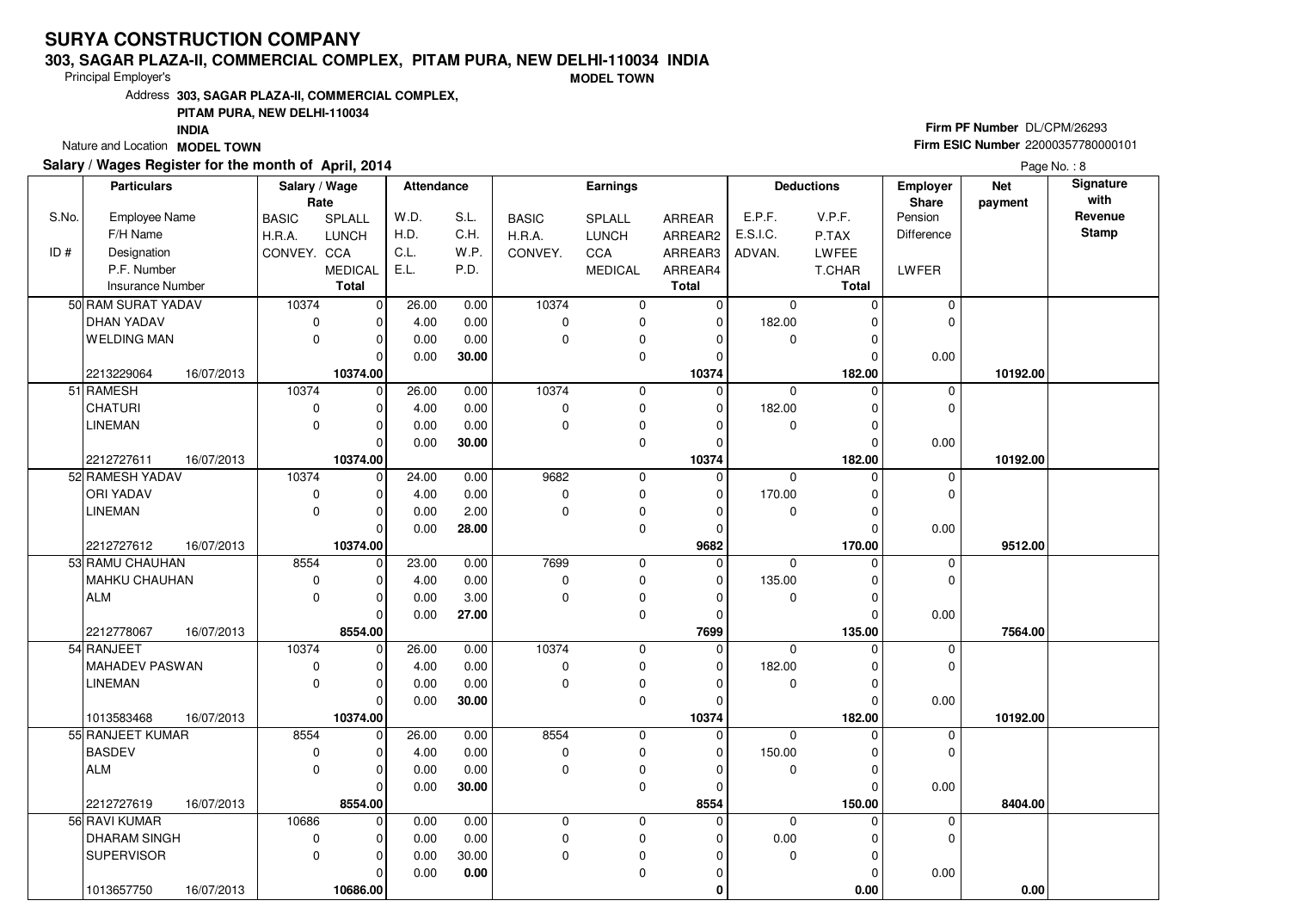### **303, SAGAR PLAZA-II, COMMERCIAL COMPLEX, PITAM PURA, NEW DELHI-110034 INDIA**

Principal Employer's

**MODEL TOWN**

Address**303, SAGAR PLAZA-II, COMMERCIAL COMPLEX,**

### **PITAM PURA, NEW DELHI-110034**

**INDIA**

Nature and Location **MODEL TOWN** 

## **Salary / Wages Register for the month of April, 2014**

# **Firm PF Number** DL/CPM/26293 **Firm ESIC Number** <sup>22000357780000101</sup>

|       | <b>Particulars</b>       | Salary / Wage |                | <b>Attendance</b> |       |              | <b>Earnings</b> |                |              | <b>Deductions</b> | <b>Employer</b> | <b>Net</b> | Signature    |
|-------|--------------------------|---------------|----------------|-------------------|-------|--------------|-----------------|----------------|--------------|-------------------|-----------------|------------|--------------|
|       |                          | Rate          |                |                   |       |              |                 |                |              |                   | <b>Share</b>    | payment    | with         |
| S.No. | Employee Name            | <b>BASIC</b>  | <b>SPLALL</b>  | W.D.              | S.L.  | <b>BASIC</b> | SPLALL          | ARREAR         | E.P.F.       | V.P.F.            | Pension         |            | Revenue      |
|       | F/H Name                 | H.R.A.        | <b>LUNCH</b>   | H.D.              | C.H.  | H.R.A.       | <b>LUNCH</b>    | ARREAR2        | E.S.I.C.     | P.TAX             | Difference      |            | <b>Stamp</b> |
| ID#   | Designation              | CONVEY. CCA   |                | C.L.              | W.P.  | CONVEY.      | CCA             | ARREAR3        | ADVAN.       | <b>LWFEE</b>      |                 |            |              |
|       | P.F. Number              |               | <b>MEDICAL</b> | E.L.              | P.D.  |              | <b>MEDICAL</b>  | ARREAR4        |              | T.CHAR            | LWFER           |            |              |
|       | <b>Insurance Number</b>  |               | <b>Total</b>   |                   |       |              |                 | <b>Total</b>   |              | <b>Total</b>      |                 |            |              |
|       | 50 RAM SURAT YADAV       | 10374         | $\overline{0}$ | 26.00             | 0.00  | 10374        | 0               | 0              | $\mathbf 0$  | 0                 | 0               |            |              |
|       | <b>DHAN YADAV</b>        | $\mathbf 0$   | 0              | 4.00              | 0.00  | $\mathbf 0$  | 0               | 0              | 182.00       | 0                 | $\mathbf 0$     |            |              |
|       | <b>WELDING MAN</b>       | $\Omega$      | $\overline{0}$ | 0.00              | 0.00  | $\mathbf 0$  | 0               | 0              | 0            | 0                 |                 |            |              |
|       |                          |               | 0              | 0.00              | 30.00 |              | 0               | 0              |              | 0                 | 0.00            |            |              |
|       | 2213229064<br>16/07/2013 |               | 10374.00       |                   |       |              |                 | 10374          |              | 182.00            |                 | 10192.00   |              |
|       | 51 RAMESH                | 10374         | $\overline{0}$ | 26.00             | 0.00  | 10374        | 0               | $\mathbf 0$    | $\mathbf 0$  | $\mathbf 0$       | 0               |            |              |
|       | <b>CHATURI</b>           | $\mathbf 0$   | 0              | 4.00              | 0.00  | $\pmb{0}$    | $\mathbf 0$     | 0              | 182.00       | $\mathbf 0$       | $\mathbf 0$     |            |              |
|       | <b>LINEMAN</b>           | $\mathbf 0$   | 0              | 0.00              | 0.00  | $\mathbf 0$  | 0               | 0              | 0            | 0                 |                 |            |              |
|       |                          |               | $\Omega$       | 0.00              | 30.00 |              | $\mathbf 0$     | $\overline{0}$ |              | $\Omega$          | 0.00            |            |              |
|       | 2212727611<br>16/07/2013 |               | 10374.00       |                   |       |              |                 | 10374          |              | 182.00            |                 | 10192.00   |              |
|       | 52 RAMESH YADAV          | 10374         | $\mathbf 0$    | 24.00             | 0.00  | 9682         | $\mathsf 0$     | 0              | $\mathbf 0$  | 0                 | 0               |            |              |
|       | ORI YADAV                | $\mathbf 0$   | 0              | 4.00              | 0.00  | $\pmb{0}$    | $\mathbf 0$     | 0              | 170.00       | $\mathbf 0$       | $\mathbf 0$     |            |              |
|       | <b>LINEMAN</b>           | $\mathbf 0$   | 0              | 0.00              | 2.00  | $\mathbf 0$  | $\pmb{0}$       | 0              | 0            | $\mathbf 0$       |                 |            |              |
|       |                          |               | $\Omega$       | 0.00              | 28.00 |              | $\mathbf 0$     | 0              |              | $\Omega$          | 0.00            |            |              |
|       | 2212727612<br>16/07/2013 |               | 10374.00       |                   |       |              |                 | 9682           |              | 170.00            |                 | 9512.00    |              |
|       | 53 RAMU CHAUHAN          | 8554          | $\mathbf 0$    | 23.00             | 0.00  | 7699         | $\mathbf 0$     | 0              | $\mathbf 0$  | $\mathbf 0$       | 0               |            |              |
|       | MAHKU CHAUHAN            | 0             | 0              | 4.00              | 0.00  | 0            | 0               | 0              | 135.00       | $\mathbf 0$       | $\mathbf 0$     |            |              |
|       | <b>ALM</b>               | $\mathbf 0$   | 0              | 0.00              | 3.00  | $\mathbf 0$  | $\pmb{0}$       | 0              | 0            | 0                 |                 |            |              |
|       |                          |               | $\Omega$       | 0.00              | 27.00 |              | $\mathbf 0$     | $\mathbf 0$    |              | $\Omega$          | 0.00            |            |              |
|       | 2212778067<br>16/07/2013 |               | 8554.00        |                   |       |              |                 | 7699           |              | 135.00            |                 | 7564.00    |              |
|       | 54 RANJEET               | 10374         | $\mathbf 0$    | 26.00             | 0.00  | 10374        | $\mathbf 0$     | 0              | $\Omega$     | $\Omega$          | 0               |            |              |
|       | <b>MAHADEV PASWAN</b>    | 0             | 0              | 4.00              | 0.00  | 0            | $\pmb{0}$       | 0              | 182.00       | $\Omega$          | $\Omega$        |            |              |
|       | <b>LINEMAN</b>           | $\mathbf 0$   | 0              | 0.00              | 0.00  | $\Omega$     | 0               | 0              | $\mathbf 0$  | $\mathbf 0$       |                 |            |              |
|       |                          |               | $\mathbf 0$    | 0.00              | 30.00 |              | $\mathbf 0$     | 0              |              | $\Omega$          | 0.00            |            |              |
|       | 1013583468<br>16/07/2013 |               | 10374.00       |                   |       |              |                 | 10374          |              | 182.00            |                 | 10192.00   |              |
|       | 55 RANJEET KUMAR         | 8554          | $\mathbf 0$    | 26.00             | 0.00  | 8554         | $\mathbf 0$     | 0              | $\mathbf{0}$ | $\Omega$          | $\mathbf 0$     |            |              |
|       | <b>BASDEV</b>            | $\mathbf 0$   | 0              | 4.00              | 0.00  | 0            | $\pmb{0}$       | 0              | 150.00       | $\mathbf 0$       | $\mathbf 0$     |            |              |
|       | <b>ALM</b>               | $\mathbf 0$   | 0              | 0.00              | 0.00  | $\mathbf 0$  | $\pmb{0}$       | 0              | $\mathbf 0$  | $\Omega$          |                 |            |              |
|       |                          |               | $\Omega$       | 0.00              | 30.00 |              | 0               | $\Omega$       |              | $\Omega$          | 0.00            |            |              |
|       | 2212727619<br>16/07/2013 |               | 8554.00        |                   |       |              |                 | 8554           |              | 150.00            |                 | 8404.00    |              |
|       | 56 RAVI KUMAR            | 10686         | $\mathbf 0$    | 0.00              | 0.00  | $\mathbf 0$  | $\mathbf 0$     | 0              | $\mathbf 0$  | $\Omega$          | 0               |            |              |
|       | <b>DHARAM SINGH</b>      | $\mathbf 0$   | 0              | 0.00              | 0.00  | $\mathsf 0$  | 0               | 0              | $0.00\,$     | 0                 | $\mathbf 0$     |            |              |
|       | <b>SUPERVISOR</b>        | $\mathbf 0$   | 0              | 0.00              | 30.00 | $\mathbf 0$  | 0               | 0              | $\mathbf 0$  | $\mathbf 0$       |                 |            |              |
|       |                          |               | 0              | 0.00              | 0.00  |              | $\mathbf 0$     | 0              |              | 0                 | 0.00            |            |              |
|       | 1013657750<br>16/07/2013 |               | 10686.00       |                   |       |              |                 | 0              |              | 0.00              |                 | 0.00       |              |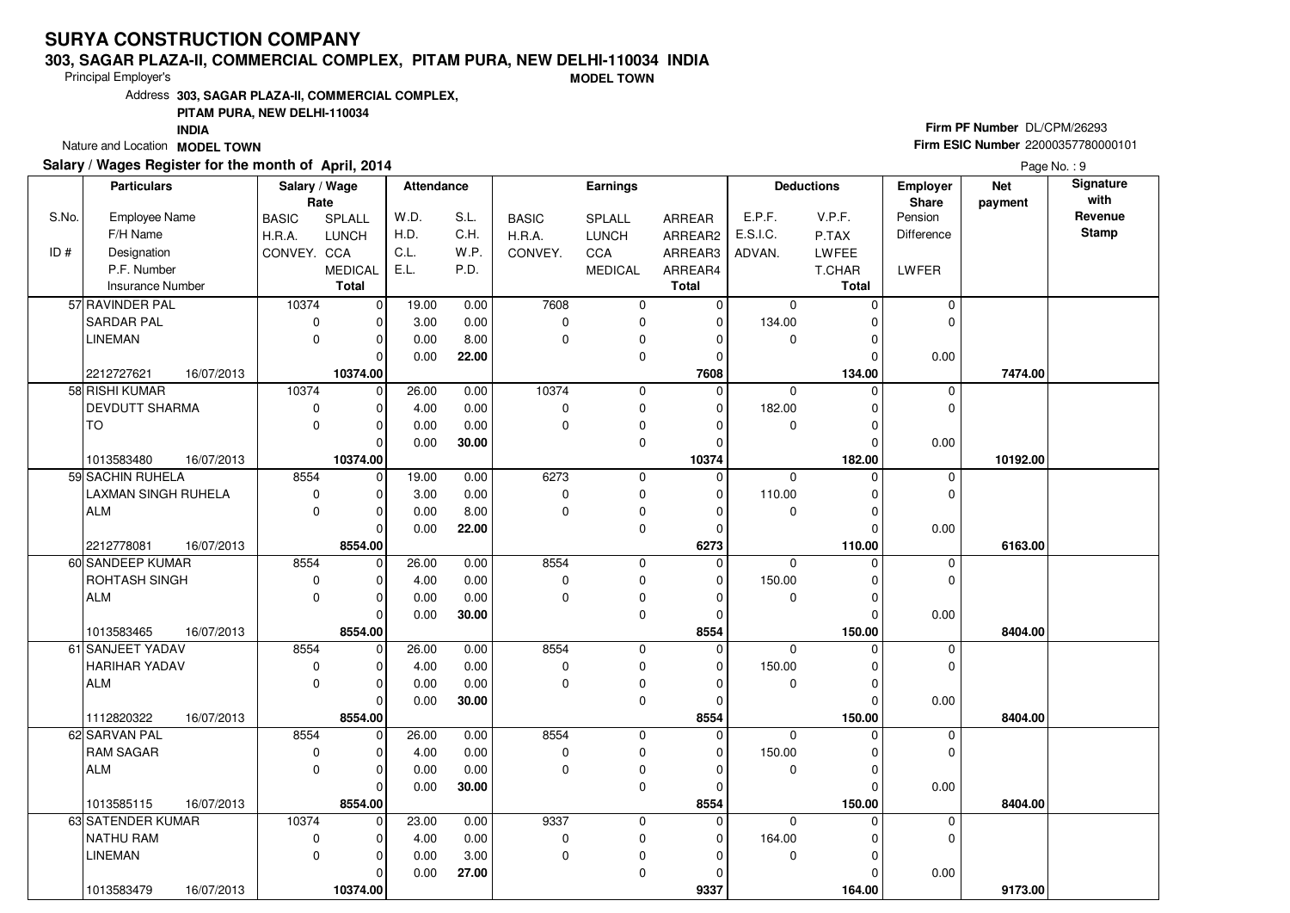### **303, SAGAR PLAZA-II, COMMERCIAL COMPLEX, PITAM PURA, NEW DELHI-110034 INDIA**

Principal Employer's

**MODEL TOWN**

Address**303, SAGAR PLAZA-II, COMMERCIAL COMPLEX,**

### **PITAM PURA, NEW DELHI-110034**

**INDIA**

Nature and Location **MODEL TOWN** 

## **Salary / Wages Register for the month of April, 2014**

# **Firm PF Number** DL/CPM/26293 **Firm ESIC Number** <sup>22000357780000101</sup>

|       | <b>Particulars</b>      |            | Salary / Wage |                | <b>Attendance</b> |       |              | <b>Earnings</b> |                |              | <b>Deductions</b> | <b>Employer</b> | <b>Net</b> | Signature    |
|-------|-------------------------|------------|---------------|----------------|-------------------|-------|--------------|-----------------|----------------|--------------|-------------------|-----------------|------------|--------------|
|       |                         |            | Rate          |                |                   |       |              |                 |                |              |                   | <b>Share</b>    | payment    | with         |
| S.No. | Employee Name           |            | <b>BASIC</b>  | <b>SPLALL</b>  | W.D.              | S.L.  | <b>BASIC</b> | SPLALL          | ARREAR         | E.P.F.       | V.P.F.            | Pension         |            | Revenue      |
|       | F/H Name                |            | H.R.A.        | <b>LUNCH</b>   | H.D.              | C.H.  | H.R.A.       | <b>LUNCH</b>    | ARREAR2        | E.S.I.C.     | P.TAX             | Difference      |            | <b>Stamp</b> |
| ID#   | Designation             |            | CONVEY. CCA   |                | C.L.              | W.P.  | CONVEY.      | CCA             | ARREAR3        | ADVAN.       | <b>LWFEE</b>      |                 |            |              |
|       | P.F. Number             |            |               | <b>MEDICAL</b> | E.L.              | P.D.  |              | <b>MEDICAL</b>  | ARREAR4        |              | T.CHAR            | LWFER           |            |              |
|       | <b>Insurance Number</b> |            |               | <b>Total</b>   |                   |       |              |                 | <b>Total</b>   |              | <b>Total</b>      |                 |            |              |
|       | 57 RAVINDER PAL         |            | 10374         | $\overline{0}$ | 19.00             | 0.00  | 7608         | 0               | 0              | $\mathbf 0$  | 0                 | 0               |            |              |
|       | <b>SARDAR PAL</b>       |            | $\mathbf 0$   | $\overline{0}$ | 3.00              | 0.00  | $\pmb{0}$    | 0               | 0              | 134.00       | 0                 | $\mathbf 0$     |            |              |
|       | <b>LINEMAN</b>          |            | $\Omega$      | $\overline{0}$ | 0.00              | 8.00  | $\mathbf 0$  | $\mathbf 0$     | 0              | $\mathbf 0$  | 0                 |                 |            |              |
|       |                         |            |               | 0              | 0.00              | 22.00 |              | 0               | 0              |              | 0                 | 0.00            |            |              |
|       | 2212727621              | 16/07/2013 |               | 10374.00       |                   |       |              |                 | 7608           |              | 134.00            |                 | 7474.00    |              |
|       | 58 RISHI KUMAR          |            | 10374         | 0              | 26.00             | 0.00  | 10374        | 0               | $\mathbf 0$    | $\mathbf 0$  | $\mathbf 0$       | 0               |            |              |
|       | DEVDUTT SHARMA          |            | $\mathbf 0$   | $\mathbf 0$    | 4.00              | 0.00  | $\mathbf 0$  | $\mathbf 0$     | 0              | 182.00       | $\mathbf 0$       | $\mathbf 0$     |            |              |
|       | <b>TO</b>               |            | $\mathbf 0$   | 0              | 0.00              | 0.00  | $\mathbf 0$  | 0               | 0              | 0            | 0                 |                 |            |              |
|       |                         |            |               | $\Omega$       | 0.00              | 30.00 |              | $\mathbf 0$     | $\overline{0}$ |              | $\Omega$          | 0.00            |            |              |
|       | 1013583480              | 16/07/2013 |               | 10374.00       |                   |       |              |                 | 10374          |              | 182.00            |                 | 10192.00   |              |
|       | 59 SACHIN RUHELA        |            | 8554          | $\mathbf 0$    | 19.00             | 0.00  | 6273         | 0               | 0              | $\mathbf 0$  | 0                 | 0               |            |              |
|       | LAXMAN SINGH RUHELA     |            | $\mathbf 0$   | 0              | 3.00              | 0.00  | $\mathbf 0$  | $\mathbf 0$     | 0              | 110.00       | $\mathbf 0$       | $\mathbf{0}$    |            |              |
|       | <b>ALM</b>              |            | $\mathbf 0$   | 0              | 0.00              | 8.00  | $\mathbf 0$  | $\pmb{0}$       | 0              | 0            | $\mathbf 0$       |                 |            |              |
|       |                         |            |               | $\Omega$       | 0.00              | 22.00 |              | $\mathbf 0$     | 0              |              | $\Omega$          | 0.00            |            |              |
|       | 2212778081              | 16/07/2013 |               | 8554.00        |                   |       |              |                 | 6273           |              | 110.00            |                 | 6163.00    |              |
|       | 60 SANDEEP KUMAR        |            | 8554          | $\mathbf 0$    | 26.00             | 0.00  | 8554         | $\mathbf 0$     | 0              | $\mathbf 0$  | $\Omega$          | 0               |            |              |
|       | ROHTASH SINGH           |            | 0             | 0              | 4.00              | 0.00  | 0            | 0               | 0              | 150.00       | $\mathbf 0$       | $\mathbf 0$     |            |              |
|       | <b>ALM</b>              |            | $\mathbf 0$   | 0              | 0.00              | 0.00  | $\mathbf 0$  | $\pmb{0}$       | 0              | 0            | 0                 |                 |            |              |
|       |                         |            |               | $\Omega$       | 0.00              | 30.00 |              | $\mathbf 0$     | 0              |              | $\Omega$          | 0.00            |            |              |
|       | 1013583465              | 16/07/2013 |               | 8554.00        |                   |       |              |                 | 8554           |              | 150.00            |                 | 8404.00    |              |
|       | 61 SANJEET YADAV        |            | 8554          | $\mathbf 0$    | 26.00             | 0.00  | 8554         | $\mathbf 0$     | 0              | $\Omega$     | $\Omega$          | 0               |            |              |
|       | HARIHAR YADAV           |            | 0             | $\Omega$       | 4.00              | 0.00  | 0            | $\pmb{0}$       | 0              | 150.00       | $\Omega$          | $\Omega$        |            |              |
|       | <b>ALM</b>              |            | $\mathbf 0$   | 0              | 0.00              | 0.00  | $\Omega$     | $\mathbf 0$     | 0              | $\mathbf 0$  | $\mathbf 0$       |                 |            |              |
|       |                         |            |               | $\mathbf 0$    | 0.00              | 30.00 |              | $\mathbf 0$     | 0              |              | $\Omega$          | 0.00            |            |              |
|       | 1112820322              | 16/07/2013 |               | 8554.00        |                   |       |              |                 | 8554           |              | 150.00            |                 | 8404.00    |              |
|       | 62 SARVAN PAL           |            | 8554          | $\mathbf 0$    | 26.00             | 0.00  | 8554         | $\mathbf 0$     | 0              | $\mathbf{0}$ | $\Omega$          | $\mathbf 0$     |            |              |
|       | <b>RAM SAGAR</b>        |            | $\mathbf 0$   | 0              | 4.00              | 0.00  | 0            | 0               | 0              | 150.00       | $\mathbf 0$       | $\mathbf 0$     |            |              |
|       | <b>ALM</b>              |            | $\mathbf 0$   | 0              | 0.00              | 0.00  | $\mathbf 0$  | $\pmb{0}$       | 0              | $\mathbf 0$  | $\Omega$          |                 |            |              |
|       |                         |            |               | $\Omega$       | 0.00              | 30.00 |              | 0               | $\Omega$       |              | $\Omega$          | 0.00            |            |              |
|       | 1013585115              | 16/07/2013 |               | 8554.00        |                   |       |              |                 | 8554           |              | 150.00            |                 | 8404.00    |              |
|       | 63 SATENDER KUMAR       |            | 10374         | $\mathbf 0$    | 23.00             | 0.00  | 9337         | $\mathbf 0$     | 0              | $\Omega$     | $\Omega$          | 0               |            |              |
|       | <b>NATHU RAM</b>        |            | $\mathbf 0$   | 0              | 4.00              | 0.00  | $\pmb{0}$    | 0               | 0              | 164.00       | 0                 | $\mathbf 0$     |            |              |
|       | <b>LINEMAN</b>          |            | $\Omega$      | 0              | 0.00              | 3.00  | $\mathbf 0$  | 0               | 0              | $\mathbf 0$  | $\mathbf 0$       |                 |            |              |
|       |                         |            |               | 0              | 0.00              | 27.00 |              | $\mathbf 0$     | 0              |              | 0                 | 0.00            |            |              |
|       | 1013583479              | 16/07/2013 |               | 10374.00       |                   |       |              |                 | 9337           |              | 164.00            |                 | 9173.00    |              |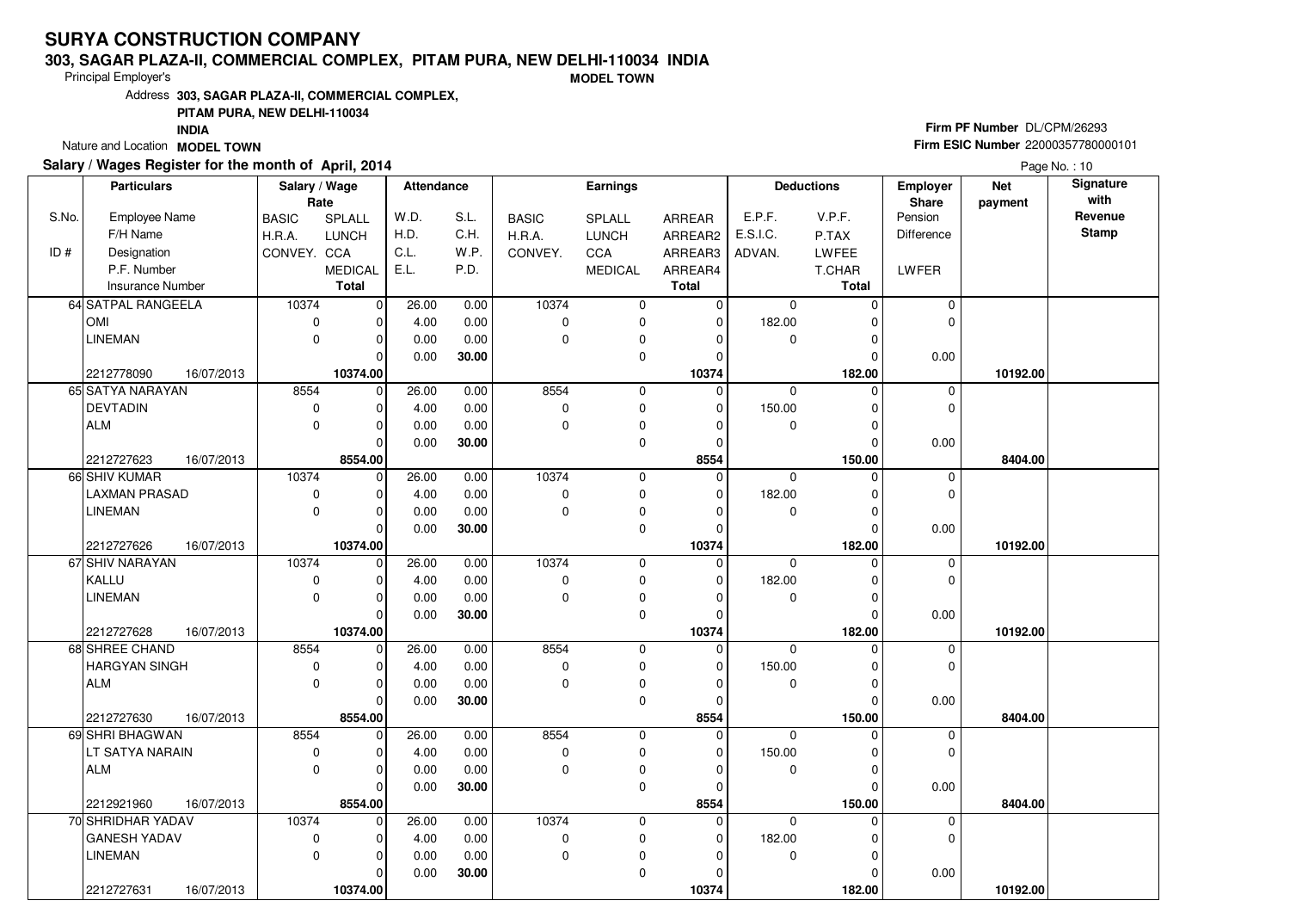### **303, SAGAR PLAZA-II, COMMERCIAL COMPLEX, PITAM PURA, NEW DELHI-110034 INDIA**

Principal Employer's

**MODEL TOWN**

Address**303, SAGAR PLAZA-II, COMMERCIAL COMPLEX,**

### **PITAM PURA, NEW DELHI-110034**

**INDIA**

Nature and Location **MODEL TOWN** 

## **Salary / Wages Register for the month of April, 2014**

# **Firm PF Number** DL/CPM/26293 **Firm ESIC Number** <sup>22000357780000101</sup>

|       | <b>Particulars</b>       | Salary / Wage<br>Rate |                | <b>Attendance</b> |       |              | <b>Earnings</b> |              |             | <b>Deductions</b> | Employer<br><b>Share</b> | <b>Net</b><br>payment | Signature<br>with |
|-------|--------------------------|-----------------------|----------------|-------------------|-------|--------------|-----------------|--------------|-------------|-------------------|--------------------------|-----------------------|-------------------|
| S.No. | Employee Name            | <b>BASIC</b>          | SPLALL         | W.D.              | S.L.  | <b>BASIC</b> | <b>SPLALL</b>   | ARREAR       | E.P.F.      | V.P.F.            | Pension                  |                       | Revenue           |
|       | F/H Name                 | H.R.A.                | <b>LUNCH</b>   | H.D.              | C.H.  | H.R.A.       | <b>LUNCH</b>    | ARREAR2      | E.S.I.C.    | P.TAX             | Difference               |                       | <b>Stamp</b>      |
| ID#   | Designation              | CONVEY. CCA           |                | C.L.              | W.P.  | CONVEY.      | <b>CCA</b>      | ARREAR3      | ADVAN.      | <b>LWFEE</b>      |                          |                       |                   |
|       | P.F. Number              |                       | <b>MEDICAL</b> | E.L.              | P.D.  |              | <b>MEDICAL</b>  | ARREAR4      |             | T.CHAR            | LWFER                    |                       |                   |
|       | <b>Insurance Number</b>  |                       | <b>Total</b>   |                   |       |              |                 | <b>Total</b> |             | <b>Total</b>      |                          |                       |                   |
|       | 64 SATPAL RANGEELA       | 10374                 | $\mathbf 0$    | 26.00             | 0.00  | 10374        | 0               | 0            | 0           | $\Omega$          | 0                        |                       |                   |
|       | <b>OMI</b>               | $\mathbf 0$           | 0              | 4.00              | 0.00  | 0            | 0               | 0            | 182.00      | $\Omega$          | $\mathbf 0$              |                       |                   |
|       | LINEMAN                  | $\mathbf 0$           | $\mathbf 0$    | 0.00              | 0.00  | $\Omega$     | 0               | $\Omega$     | 0           | $\Omega$          |                          |                       |                   |
|       |                          |                       | $\Omega$       | 0.00              | 30.00 |              | 0               | 0            |             | 0                 | 0.00                     |                       |                   |
|       | 2212778090<br>16/07/2013 |                       | 10374.00       |                   |       |              |                 | 10374        |             | 182.00            |                          | 10192.00              |                   |
|       | 65 SATYA NARAYAN         | 8554                  | 0              | 26.00             | 0.00  | 8554         | 0               | 0            | $\mathbf 0$ | $\Omega$          | 0                        |                       |                   |
|       | <b>DEVTADIN</b>          | $\mathbf 0$           | $\mathbf 0$    | 4.00              | 0.00  | $\Omega$     | 0               | $\mathbf 0$  | 150.00      | $\Omega$          | $\mathbf 0$              |                       |                   |
|       | ALM                      | $\mathbf 0$           | $\mathbf 0$    | 0.00              | 0.00  | $\mathbf 0$  | 0               | $\Omega$     | 0           | O                 |                          |                       |                   |
|       |                          |                       | $\Omega$       | 0.00              | 30.00 |              | $\mathbf 0$     | $\mathbf 0$  |             | $\Omega$          | 0.00                     |                       |                   |
|       | 16/07/2013<br>2212727623 |                       | 8554.00        |                   |       |              |                 | 8554         |             | 150.00            |                          | 8404.00               |                   |
|       | 66 SHIV KUMAR            | 10374                 | $\mathbf 0$    | 26.00             | 0.00  | 10374        | 0               | $\mathbf 0$  | $\mathbf 0$ | $\Omega$          | 0                        |                       |                   |
|       | LAXMAN PRASAD            | $\mathbf 0$           | $\Omega$       | 4.00              | 0.00  | 0            | $\mathbf 0$     | $\mathbf 0$  | 182.00      | O                 | $\mathbf 0$              |                       |                   |
|       | <b>LINEMAN</b>           | $\mathbf 0$           | $\mathbf 0$    | 0.00              | 0.00  | $\Omega$     | 0               | 0            | 0           | $\Omega$          |                          |                       |                   |
|       |                          |                       | $\Omega$       | 0.00              | 30.00 |              | $\mathbf 0$     | $\mathbf 0$  |             |                   | 0.00                     |                       |                   |
|       | 2212727626<br>16/07/2013 |                       | 10374.00       |                   |       |              |                 | 10374        |             | 182.00            |                          | 10192.00              |                   |
|       | 67 SHIV NARAYAN          | 10374                 | $\mathbf 0$    | 26.00             | 0.00  | 10374        | 0               | $\mathbf 0$  | $\mathbf 0$ | $\Omega$          | 0                        |                       |                   |
|       | KALLU                    | 0                     | $\Omega$       | 4.00              | 0.00  | $\Omega$     | 0               | $\Omega$     | 182.00      |                   | $\mathbf 0$              |                       |                   |
|       | <b>LINEMAN</b>           | $\mathbf 0$           | $\Omega$       | 0.00              | 0.00  | $\mathbf 0$  | 0               | 0            | 0           | $\Omega$          |                          |                       |                   |
|       |                          |                       | $\Omega$       | 0.00              | 30.00 |              | $\mathbf 0$     | $\Omega$     |             |                   | 0.00                     |                       |                   |
|       | 2212727628<br>16/07/2013 |                       | 10374.00       |                   |       |              |                 | 10374        |             | 182.00            |                          | 10192.00              |                   |
|       | 68 SHREE CHAND           | 8554                  | $\mathbf 0$    | 26.00             | 0.00  | 8554         | $\mathbf 0$     | 0            | $\Omega$    |                   | 0                        |                       |                   |
|       | HARGYAN SINGH            | $\mathbf 0$           | $\Omega$       | 4.00              | 0.00  | $\Omega$     | 0               | $\Omega$     | 150.00      | U                 | 0                        |                       |                   |
|       | ALM                      | $\Omega$              | $\mathbf 0$    | 0.00              | 0.00  | $\Omega$     | $\mathbf 0$     | $\mathbf 0$  | 0           | $\Omega$          |                          |                       |                   |
|       |                          |                       | $\Omega$       | 0.00              | 30.00 |              | $\mathbf 0$     | 0            |             |                   | 0.00                     |                       |                   |
|       | 2212727630<br>16/07/2013 |                       | 8554.00        |                   |       |              |                 | 8554         |             | 150.00            |                          | 8404.00               |                   |
|       | 69 SHRI BHAGWAN          | 8554                  | $\mathbf 0$    | 26.00             | 0.00  | 8554         | $\mathbf 0$     | $\Omega$     | $\Omega$    | $\Omega$          | 0                        |                       |                   |
|       | LT SATYA NARAIN          | $\mathbf 0$           | $\mathbf 0$    | 4.00              | 0.00  | 0            | 0               | 0            | 150.00      | $\Omega$          | 0                        |                       |                   |
|       | ALM                      | $\Omega$              | $\mathbf 0$    | 0.00              | 0.00  | $\Omega$     | $\mathbf 0$     | $\Omega$     | 0           |                   |                          |                       |                   |
|       |                          |                       | $\Omega$       | 0.00              | 30.00 |              | 0               | $\Omega$     |             | U                 | 0.00                     |                       |                   |
|       | 2212921960<br>16/07/2013 |                       | 8554.00        |                   |       |              |                 | 8554         |             | 150.00            |                          | 8404.00               |                   |
|       | 70 SHRIDHAR YADAV        | 10374                 | $\mathbf 0$    | 26.00             | 0.00  | 10374        | $\mathbf 0$     | $\Omega$     | $\Omega$    | 0                 | $\mathbf 0$              |                       |                   |
|       | <b>GANESH YADAV</b>      | $\mathbf 0$           | $\Omega$       | 4.00              | 0.00  | $\pmb{0}$    | 0               | 0            | 182.00      |                   | 0                        |                       |                   |
|       | <b>LINEMAN</b>           | $\Omega$              | $\mathbf 0$    | 0.00              | 0.00  | $\mathbf 0$  | 0               | $\Omega$     | $\mathbf 0$ | O                 |                          |                       |                   |
|       |                          |                       | $\Omega$       | 0.00              | 30.00 |              | $\mathbf 0$     | $\Omega$     |             |                   | 0.00                     |                       |                   |
|       | 2212727631<br>16/07/2013 |                       | 10374.00       |                   |       |              |                 | 10374        |             | 182.00            |                          | 10192.00              |                   |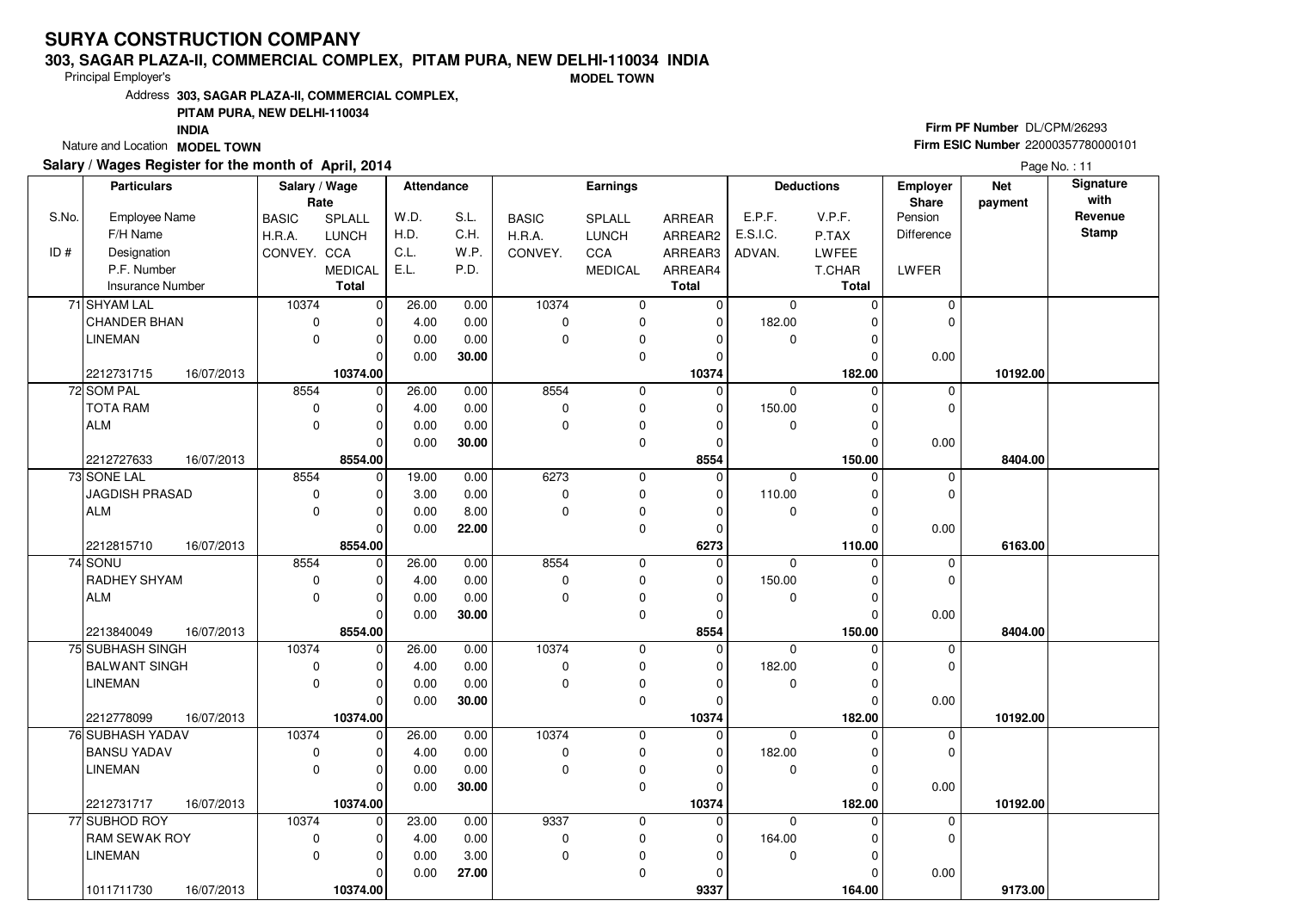### **303, SAGAR PLAZA-II, COMMERCIAL COMPLEX, PITAM PURA, NEW DELHI-110034 INDIA**

Principal Employer's

**MODEL TOWN**

Address**303, SAGAR PLAZA-II, COMMERCIAL COMPLEX,**

### **PITAM PURA, NEW DELHI-110034**

**INDIA**

Nature and Location **MODEL TOWN** 

### **Salary / Wages Register for the month of April, 2014**

# **Firm PF Number** DL/CPM/26293 **Firm ESIC Number** <sup>22000357780000101</sup>

|       | <b>Particulars</b>       | Salary / Wage |                | Attendance |       |              | <b>Earnings</b> |              |             | <b>Deductions</b> | <b>Employer</b> | <b>Net</b> | Signature    |
|-------|--------------------------|---------------|----------------|------------|-------|--------------|-----------------|--------------|-------------|-------------------|-----------------|------------|--------------|
|       |                          | Rate          |                |            |       |              |                 |              |             |                   | <b>Share</b>    | payment    | with         |
| S.No. | Employee Name            | <b>BASIC</b>  | <b>SPLALL</b>  | W.D.       | S.L.  | <b>BASIC</b> | SPLALL          | ARREAR       | E.P.F.      | V.P.F.            | Pension         |            | Revenue      |
|       | F/H Name                 | H.R.A.        | <b>LUNCH</b>   | H.D.       | C.H.  | H.R.A.       | <b>LUNCH</b>    | ARREAR2      | E.S.I.C.    | P.TAX             | Difference      |            | <b>Stamp</b> |
| ID#   | Designation              | CONVEY. CCA   |                | C.L.       | W.P.  | CONVEY.      | CCA             | ARREAR3      | ADVAN.      | <b>LWFEE</b>      |                 |            |              |
|       | P.F. Number              |               | <b>MEDICAL</b> | E.L.       | P.D.  |              | <b>MEDICAL</b>  | ARREAR4      |             | T.CHAR            | LWFER           |            |              |
|       | Insurance Number         |               | <b>Total</b>   |            |       |              |                 | <b>Total</b> |             | <b>Total</b>      |                 |            |              |
|       | 71 SHYAM LAL             | 10374         | $\overline{0}$ | 26.00      | 0.00  | 10374        | 0               | 0            | $\mathbf 0$ | 0                 | 0               |            |              |
|       | CHANDER BHAN             | $\mathbf 0$   | 0              | 4.00       | 0.00  | $\mathbf 0$  | 0               | 0            | 182.00      | 0                 | $\mathbf 0$     |            |              |
|       | LINEMAN                  | $\mathbf 0$   | $\overline{0}$ | 0.00       | 0.00  | $\mathbf 0$  | 0               | 0            | 0           | 0                 |                 |            |              |
|       |                          |               | 0              | 0.00       | 30.00 |              | 0               | 0            |             | 0                 | 0.00            |            |              |
|       | 2212731715<br>16/07/2013 |               | 10374.00       |            |       |              |                 | 10374        |             | 182.00            |                 | 10192.00   |              |
|       | 72 SOM PAL               | 8554          | $\overline{0}$ | 26.00      | 0.00  | 8554         | 0               | $\mathbf 0$  | $\mathbf 0$ | $\mathbf 0$       | 0               |            |              |
|       | <b>TOTA RAM</b>          | $\mathbf 0$   | $\mathbf 0$    | 4.00       | 0.00  | $\pmb{0}$    | $\mathbf 0$     | 0            | 150.00      | $\mathbf 0$       | $\mathbf 0$     |            |              |
|       | <b>ALM</b>               | $\mathbf 0$   | 0              | 0.00       | 0.00  | $\mathbf 0$  | 0               | 0            | 0           | 0                 |                 |            |              |
|       |                          |               | $\Omega$       | 0.00       | 30.00 |              | $\mathbf 0$     | 0            |             | $\Omega$          | 0.00            |            |              |
|       | 2212727633<br>16/07/2013 |               | 8554.00        |            |       |              |                 | 8554         |             | 150.00            |                 | 8404.00    |              |
|       | 73 SONE LAL              | 8554          | $\mathbf 0$    | 19.00      | 0.00  | 6273         | $\mathsf 0$     | 0            | $\mathbf 0$ | 0                 | 0               |            |              |
|       | <b>JAGDISH PRASAD</b>    | $\mathbf 0$   | 0              | 3.00       | 0.00  | $\mathbf 0$  | $\mathbf 0$     | 0            | 110.00      | $\mathbf 0$       | $\mathbf 0$     |            |              |
|       | <b>ALM</b>               | $\mathbf 0$   | 0              | 0.00       | 8.00  | $\mathbf 0$  | $\pmb{0}$       | 0            | 0           | $\mathbf 0$       |                 |            |              |
|       |                          |               | 0              | 0.00       | 22.00 |              | $\mathbf 0$     | 0            |             | $\Omega$          | 0.00            |            |              |
|       | 2212815710<br>16/07/2013 |               | 8554.00        |            |       |              |                 | 6273         |             | 110.00            |                 | 6163.00    |              |
|       | 74 SONU                  | 8554          | $\mathbf 0$    | 26.00      | 0.00  | 8554         | $\mathbf 0$     | 0            | $\mathbf 0$ | $\mathbf 0$       | 0               |            |              |
|       | RADHEY SHYAM             | 0             | 0              | 4.00       | 0.00  | 0            | 0               | 0            | 150.00      | $\mathbf 0$       | $\mathbf 0$     |            |              |
|       | <b>ALM</b>               | $\mathbf 0$   | 0              | 0.00       | 0.00  | $\mathbf 0$  | $\pmb{0}$       | 0            | 0           | 0                 |                 |            |              |
|       |                          |               | $\Omega$       | 0.00       | 30.00 |              | $\mathbf 0$     | 0            |             | $\Omega$          | 0.00            |            |              |
|       | 2213840049<br>16/07/2013 |               | 8554.00        |            |       |              |                 | 8554         |             | 150.00            |                 | 8404.00    |              |
|       | 75 SUBHASH SINGH         | 10374         | $\mathbf 0$    | 26.00      | 0.00  | 10374        | $\mathbf 0$     | 0            | $\Omega$    | $\Omega$          | 0               |            |              |
|       | <b>BALWANT SINGH</b>     | 0             | $\Omega$       | 4.00       | 0.00  | 0            | $\pmb{0}$       | 0            | 182.00      | $\Omega$          | $\Omega$        |            |              |
|       | <b>LINEMAN</b>           | $\mathbf 0$   | 0              | 0.00       | 0.00  | $\Omega$     | 0               | 0            | $\mathbf 0$ | $\mathbf 0$       |                 |            |              |
|       |                          |               | $\mathbf 0$    | 0.00       | 30.00 |              | $\mathbf 0$     | 0            |             | $\Omega$          | 0.00            |            |              |
|       | 2212778099<br>16/07/2013 |               | 10374.00       |            |       |              |                 | 10374        |             | 182.00            |                 | 10192.00   |              |
|       | 76 SUBHASH YADAV         | 10374         | $\mathbf 0$    | 26.00      | 0.00  | 10374        | $\mathbf 0$     | 0            | $\mathbf 0$ | 0                 | $\mathbf 0$     |            |              |
|       | <b>BANSU YADAV</b>       | 0             | 0              | 4.00       | 0.00  | 0            | 0               | 0            | 182.00      | $\mathbf 0$       | $\mathbf 0$     |            |              |
|       | LINEMAN                  | $\mathbf 0$   | 0              | 0.00       | 0.00  | $\mathbf 0$  | $\pmb{0}$       | 0            | $\mathbf 0$ | $\Omega$          |                 |            |              |
|       |                          |               | $\Omega$       | 0.00       | 30.00 |              | 0               | $\Omega$     |             | $\Omega$          | 0.00            |            |              |
|       | 2212731717<br>16/07/2013 |               | 10374.00       |            |       |              |                 | 10374        |             | 182.00            |                 | 10192.00   |              |
|       | 77 SUBHOD ROY            | 10374         | $\mathbf 0$    | 23.00      | 0.00  | 9337         | $\mathbf 0$     | 0            | $\Omega$    | $\Omega$          | 0               |            |              |
|       | RAM SEWAK ROY            | $\mathbf 0$   | 0              | 4.00       | 0.00  | $\pmb{0}$    | 0               | 0            | 164.00      | 0                 | $\mathbf 0$     |            |              |
|       | <b>LINEMAN</b>           | $\mathbf 0$   | 0              | 0.00       | 3.00  | $\mathbf 0$  | 0               | 0            | $\mathbf 0$ | $\mathbf 0$       |                 |            |              |
|       |                          |               | 0              | 0.00       | 27.00 |              | $\mathbf 0$     | 0            |             | 0                 | 0.00            |            |              |
|       | 16/07/2013<br>1011711730 |               | 10374.00       |            |       |              |                 | 9337         |             | 164.00            |                 | 9173.00    |              |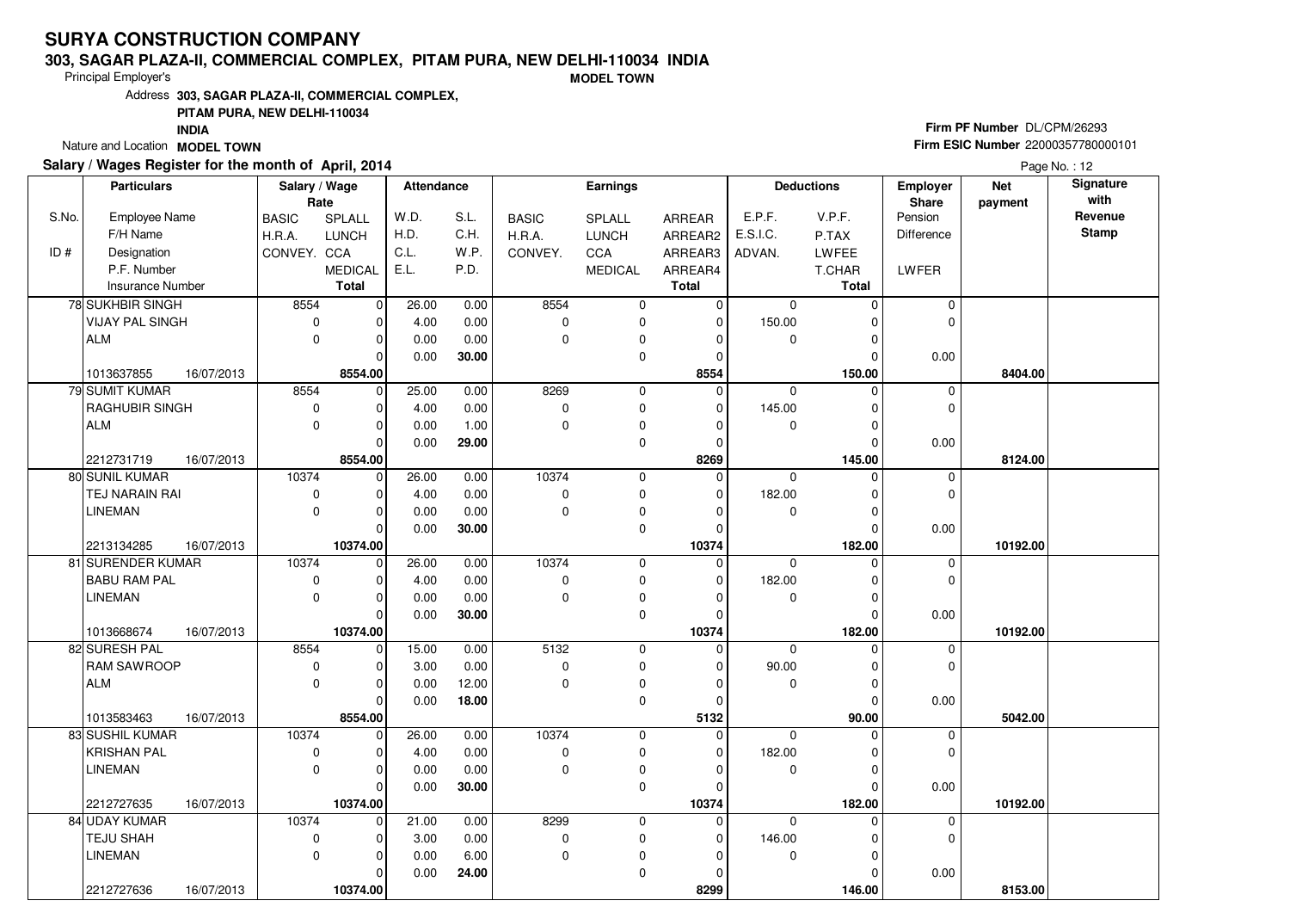### **303, SAGAR PLAZA-II, COMMERCIAL COMPLEX, PITAM PURA, NEW DELHI-110034 INDIA**

Principal Employer's

**MODEL TOWN**

Address**303, SAGAR PLAZA-II, COMMERCIAL COMPLEX,**

### **PITAM PURA, NEW DELHI-110034**

**INDIA**

Nature and Location **MODEL TOWN** 

## **Salary / Wages Register for the month of April, 2014**

# **Firm PF Number** DL/CPM/26293 **Firm ESIC Number** <sup>22000357780000101</sup>

|       | <b>Particulars</b>      |            | Salary / Wage |                | <b>Attendance</b> |       |              | <b>Earnings</b> |                |             | <b>Deductions</b> | <b>Employer</b> | <b>Net</b> | Signature    |
|-------|-------------------------|------------|---------------|----------------|-------------------|-------|--------------|-----------------|----------------|-------------|-------------------|-----------------|------------|--------------|
|       |                         |            | Rate          |                |                   |       |              |                 |                |             |                   | <b>Share</b>    | payment    | with         |
| S.No. | Employee Name           |            | <b>BASIC</b>  | <b>SPLALL</b>  | W.D.              | S.L.  | <b>BASIC</b> | SPLALL          | ARREAR         | E.P.F.      | V.P.F.            | Pension         |            | Revenue      |
|       | F/H Name                |            | H.R.A.        | <b>LUNCH</b>   | H.D.              | C.H.  | H.R.A.       | <b>LUNCH</b>    | ARREAR2        | E.S.I.C.    | P.TAX             | Difference      |            | <b>Stamp</b> |
| ID#   | Designation             |            | CONVEY. CCA   |                | C.L.              | W.P.  | CONVEY.      | CCA             | ARREAR3        | ADVAN.      | <b>LWFEE</b>      |                 |            |              |
|       | P.F. Number             |            |               | <b>MEDICAL</b> | E.L.              | P.D.  |              | <b>MEDICAL</b>  | ARREAR4        |             | T.CHAR            | LWFER           |            |              |
|       | <b>Insurance Number</b> |            |               | <b>Total</b>   |                   |       |              |                 | <b>Total</b>   |             | <b>Total</b>      |                 |            |              |
|       | 78 SUKHBIR SINGH        |            | 8554          | $\overline{0}$ | 26.00             | 0.00  | 8554         | 0               | 0              | $\mathbf 0$ | 0                 | 0               |            |              |
|       | <b>VIJAY PAL SINGH</b>  |            | $\mathbf 0$   | $\overline{0}$ | 4.00              | 0.00  | $\pmb{0}$    | 0               | 0              | 150.00      | 0                 | $\mathbf 0$     |            |              |
|       | <b>ALM</b>              |            | $\Omega$      | $\overline{0}$ | 0.00              | 0.00  | $\mathbf 0$  | 0               | 0              | 0           | 0                 |                 |            |              |
|       |                         |            |               | 0              | 0.00              | 30.00 |              | 0               | 0              |             | 0                 | 0.00            |            |              |
|       | 1013637855              | 16/07/2013 |               | 8554.00        |                   |       |              |                 | 8554           |             | 150.00            |                 | 8404.00    |              |
|       | 79 SUMIT KUMAR          |            | 8554          | $\overline{0}$ | 25.00             | 0.00  | 8269         | 0               | $\mathbf 0$    | $\mathbf 0$ | $\mathbf 0$       | 0               |            |              |
|       | RAGHUBIR SINGH          |            | $\mathbf 0$   | $\mathbf 0$    | 4.00              | 0.00  | $\mathbf 0$  | $\mathbf 0$     | 0              | 145.00      | $\mathbf 0$       | $\mathbf 0$     |            |              |
|       | <b>ALM</b>              |            | $\mathbf 0$   | 0              | 0.00              | 1.00  | $\mathbf 0$  | 0               | 0              | 0           | 0                 |                 |            |              |
|       |                         |            |               | $\Omega$       | 0.00              | 29.00 |              | $\mathbf 0$     | 0              |             | $\Omega$          | 0.00            |            |              |
|       | 2212731719              | 16/07/2013 |               | 8554.00        |                   |       |              |                 | 8269           |             | 145.00            |                 | 8124.00    |              |
|       | 80 SUNIL KUMAR          |            | 10374         | $\mathbf 0$    | 26.00             | 0.00  | 10374        | 0               | 0              | $\mathbf 0$ | 0                 | 0               |            |              |
|       | TEJ NARAIN RAI          |            | $\mathbf 0$   | 0              | 4.00              | 0.00  | $\mathbf 0$  | $\mathbf 0$     | 0              | 182.00      | $\mathbf 0$       | $\mathbf 0$     |            |              |
|       | <b>LINEMAN</b>          |            | $\mathbf 0$   | 0              | 0.00              | 0.00  | $\mathbf 0$  | $\pmb{0}$       | 0              | 0           | $\mathbf 0$       |                 |            |              |
|       |                         |            |               | $\Omega$       | 0.00              | 30.00 |              | $\mathbf 0$     | 0              |             | $\Omega$          | 0.00            |            |              |
|       | 2213134285              | 16/07/2013 |               | 10374.00       |                   |       |              |                 | 10374          |             | 182.00            |                 | 10192.00   |              |
|       | 81 SURENDER KUMAR       |            | 10374         | $\mathbf 0$    | 26.00             | 0.00  | 10374        | 0               | 0              | $\mathbf 0$ | $\mathbf 0$       | 0               |            |              |
|       | <b>BABU RAM PAL</b>     |            | 0             | 0              | 4.00              | 0.00  | 0            | 0               | 0              | 182.00      | $\mathbf 0$       | $\mathbf 0$     |            |              |
|       | <b>LINEMAN</b>          |            | $\mathbf 0$   | 0              | 0.00              | 0.00  | $\mathbf 0$  | $\pmb{0}$       | 0              | 0           | 0                 |                 |            |              |
|       |                         |            |               | $\Omega$       | 0.00              | 30.00 |              | $\mathbf 0$     | $\overline{0}$ |             | $\Omega$          | 0.00            |            |              |
|       | 1013668674              | 16/07/2013 |               | 10374.00       |                   |       |              |                 | 10374          |             | 182.00            |                 | 10192.00   |              |
|       | 82 SURESH PAL           |            | 8554          | 0              | 15.00             | 0.00  | 5132         | $\mathbf 0$     | 0              | $\Omega$    | $\Omega$          | 0               |            |              |
|       | RAM SAWROOP             |            | 0             | $\Omega$       | 3.00              | 0.00  | $\pmb{0}$    | $\pmb{0}$       | 0              | 90.00       | $\Omega$          | $\Omega$        |            |              |
|       | <b>ALM</b>              |            | $\mathbf 0$   | 0              | 0.00              | 12.00 | $\Omega$     | $\mathbf 0$     | 0              | $\mathbf 0$ | $\mathbf 0$       |                 |            |              |
|       |                         |            |               | $\mathbf 0$    | 0.00              | 18.00 |              | $\mathbf 0$     | 0              |             | $\Omega$          | 0.00            |            |              |
|       | 1013583463              | 16/07/2013 |               | 8554.00        |                   |       |              |                 | 5132           |             | 90.00             |                 | 5042.00    |              |
|       | 83 SUSHIL KUMAR         |            | 10374         | $\mathbf 0$    | 26.00             | 0.00  | 10374        | $\mathbf 0$     | 0              | $\mathbf 0$ | $\Omega$          | $\mathbf 0$     |            |              |
|       | <b>KRISHAN PAL</b>      |            | 0             | 0              | 4.00              | 0.00  | 0            | 0               | 0              | 182.00      | $\mathbf 0$       | $\mathbf 0$     |            |              |
|       | LINEMAN                 |            | $\mathbf 0$   | 0              | 0.00              | 0.00  | $\mathbf 0$  | $\pmb{0}$       | 0              | $\mathbf 0$ | $\Omega$          |                 |            |              |
|       |                         |            |               | $\Omega$       | 0.00              | 30.00 |              | 0               | $\Omega$       |             | $\Omega$          | 0.00            |            |              |
|       | 2212727635              | 16/07/2013 |               | 10374.00       |                   |       |              |                 | 10374          |             | 182.00            |                 | 10192.00   |              |
|       | 84 UDAY KUMAR           |            | 10374         | $\mathbf 0$    | 21.00             | 0.00  | 8299         | $\mathbf 0$     | 0              | $\Omega$    | $\Omega$          | 0               |            |              |
|       | TEJU SHAH               |            | $\mathbf 0$   | 0              | 3.00              | 0.00  | $\pmb{0}$    | 0               | 0              | 146.00      | 0                 | $\mathbf 0$     |            |              |
|       | <b>LINEMAN</b>          |            | $\mathbf 0$   | 0              | 0.00              | 6.00  | $\mathbf 0$  | 0               | 0              | $\mathbf 0$ | $\mathbf 0$       |                 |            |              |
|       |                         |            |               | 0              | 0.00              | 24.00 |              | $\mathbf 0$     | 0              |             | 0                 | 0.00            |            |              |
|       | 2212727636              | 16/07/2013 |               | 10374.00       |                   |       |              |                 | 8299           |             | 146.00            |                 | 8153.00    |              |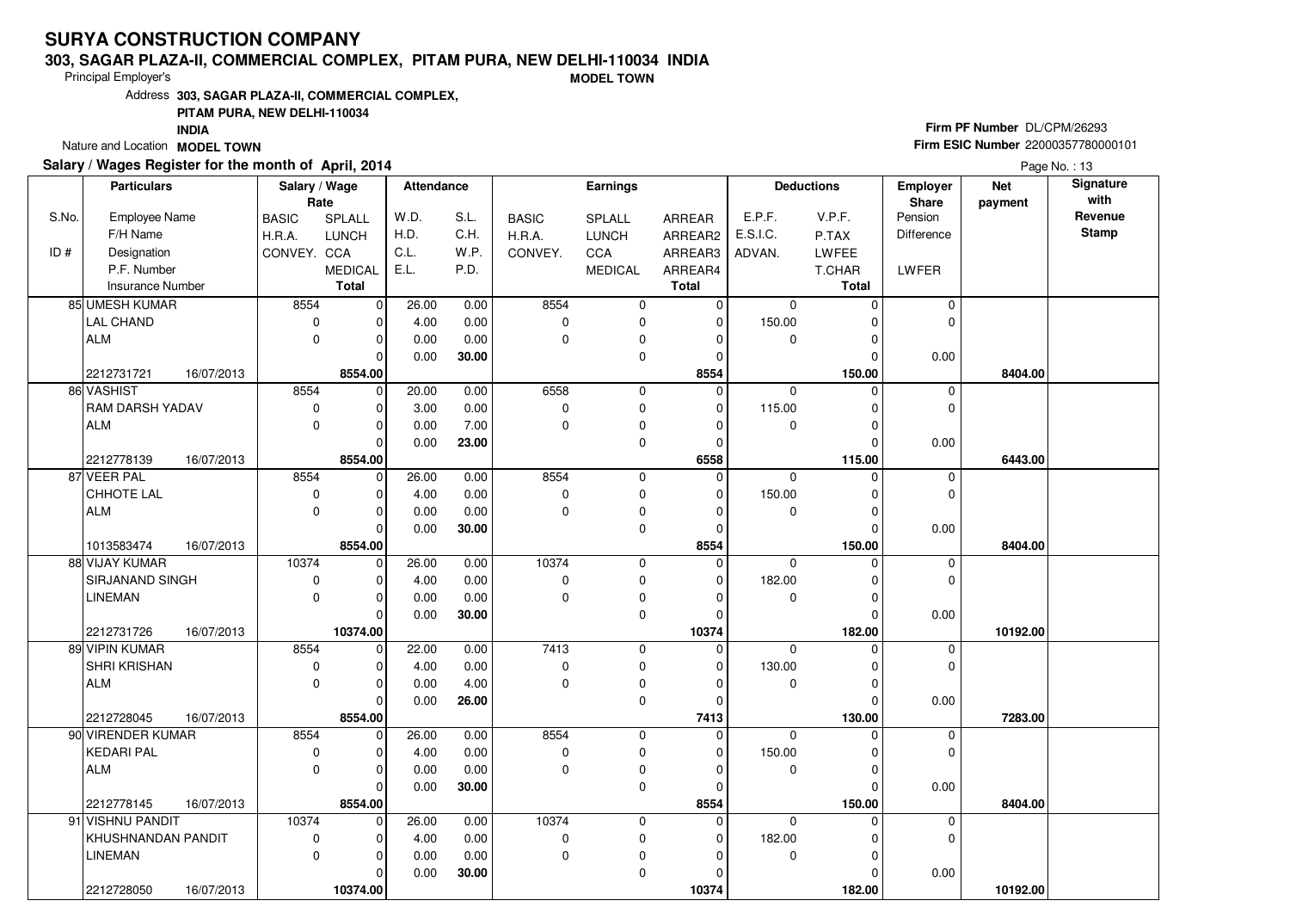### **303, SAGAR PLAZA-II, COMMERCIAL COMPLEX, PITAM PURA, NEW DELHI-110034 INDIA**

Principal Employer's

**MODEL TOWN**

Address**303, SAGAR PLAZA-II, COMMERCIAL COMPLEX,**

### **PITAM PURA, NEW DELHI-110034**

**INDIA**

Nature and Location **MODEL TOWN** 

## **Salary / Wages Register for the month of April, 2014**

# **Firm PF Number** DL/CPM/26293 **Firm ESIC Number** <sup>22000357780000101</sup>

|       | <b>Particulars</b>       | Salary / Wage |                | Attendance   |              | <b>Earnings</b> |                |              | <b>Deductions</b> |              | Employer         | <b>Net</b> | Signature       |
|-------|--------------------------|---------------|----------------|--------------|--------------|-----------------|----------------|--------------|-------------------|--------------|------------------|------------|-----------------|
|       |                          |               | Rate           |              |              |                 |                |              |                   |              | Share<br>Pension | payment    | with<br>Revenue |
| S.No. | Employee Name            | <b>BASIC</b>  | <b>SPLALL</b>  | W.D.         | S.L.<br>C.H. | <b>BASIC</b>    | <b>SPLALL</b>  | ARREAR       | E.P.F.            | V.P.F.       |                  |            | <b>Stamp</b>    |
|       | F/H Name                 | H.R.A.        | <b>LUNCH</b>   | H.D.         | W.P.         | H.R.A.          | <b>LUNCH</b>   | ARREAR2      | E.S.I.C.          | P.TAX        | Difference       |            |                 |
| ID#   | Designation              | CONVEY. CCA   |                | C.L.<br>E.L. |              | CONVEY.         | CCA            | ARREAR3      | ADVAN.            | <b>LWFEE</b> |                  |            |                 |
|       | P.F. Number              |               | <b>MEDICAL</b> |              | P.D.         |                 | <b>MEDICAL</b> | ARREAR4      |                   | T.CHAR       | LWFER            |            |                 |
|       | <b>Insurance Number</b>  |               | <b>Total</b>   |              |              |                 |                | <b>Total</b> |                   | <b>Total</b> |                  |            |                 |
|       | 85 UMESH KUMAR           | 8554          | $\overline{0}$ | 26.00        | 0.00         | 8554            | $\mathbf 0$    | $\mathbf 0$  | $\mathbf 0$       | $\mathbf 0$  | 0                |            |                 |
|       | <b>LAL CHAND</b>         | $\mathbf 0$   | 0              | 4.00         | 0.00         | $\mathbf 0$     | $\pmb{0}$      | 0            | 150.00            | $\mathbf 0$  | $\mathbf 0$      |            |                 |
|       | <b>ALM</b>               | $\Omega$      | $\overline{0}$ | 0.00         | 0.00         | $\mathbf 0$     | 0              | 0            | 0                 | $\mathbf 0$  |                  |            |                 |
|       |                          |               | $\Omega$       | 0.00         | 30.00        |                 | 0              | 0            |                   | $\Omega$     | 0.00             |            |                 |
|       | 2212731721<br>16/07/2013 |               | 8554.00        |              |              |                 |                | 8554         |                   | 150.00       |                  | 8404.00    |                 |
|       | 86 VASHIST               | 8554          | 0              | 20.00        | 0.00         | 6558            | $\mathbf 0$    | $\mathbf{0}$ | $\mathbf 0$       | $\Omega$     | 0                |            |                 |
|       | RAM DARSH YADAV          | 0             | 0              | 3.00         | 0.00         | $\mathbf 0$     | $\pmb{0}$      | 0            | 115.00            | $\mathbf 0$  | $\mathbf 0$      |            |                 |
|       | <b>ALM</b>               | $\mathbf 0$   | 0              | 0.00         | 7.00         | $\mathbf 0$     | 0              | 0            | $\mathbf 0$       | $\mathbf 0$  |                  |            |                 |
|       |                          |               | 0              | 0.00         | 23.00        |                 | $\mathbf 0$    | 0            |                   | $\Omega$     | 0.00             |            |                 |
|       | 2212778139<br>16/07/2013 |               | 8554.00        |              |              |                 |                | 6558         |                   | 115.00       |                  | 6443.00    |                 |
|       | 87 VEER PAL              | 8554          | $\mathbf 0$    | 26.00        | 0.00         | 8554            | 0              | 0            | $\Omega$          | $\Omega$     | 0                |            |                 |
|       | CHHOTE LAL               | $\mathbf 0$   | 0              | 4.00         | 0.00         | $\mathbf 0$     | 0              | 0            | 150.00            | 0            | $\mathbf 0$      |            |                 |
|       | <b>ALM</b>               | $\mathbf 0$   | 0              | 0.00         | 0.00         | $\mathbf 0$     | $\mathbf 0$    | 0            | $\mathbf 0$       | $\mathbf 0$  |                  |            |                 |
|       |                          |               | 0              | 0.00         | 30.00        |                 | 0              | 0            |                   | $\Omega$     | 0.00             |            |                 |
|       | 1013583474<br>16/07/2013 |               | 8554.00        |              |              |                 |                | 8554         |                   | 150.00       |                  | 8404.00    |                 |
|       | 88 VIJAY KUMAR           | 10374         | $\mathbf 0$    | 26.00        | 0.00         | 10374           | 0              | 0            | $\Omega$          | $\Omega$     | 0                |            |                 |
|       | SIRJANAND SINGH          | $\mathbf 0$   | 0              | 4.00         | 0.00         | $\mathbf 0$     | 0              | 0            | 182.00            | $\mathbf 0$  | $\mathbf 0$      |            |                 |
|       | <b>LINEMAN</b>           | $\mathbf 0$   | 0              | 0.00         | 0.00         | $\mathbf 0$     | 0              | 0            | $\mathbf 0$       | $\mathbf 0$  |                  |            |                 |
|       |                          |               | 0              | 0.00         | 30.00        |                 | 0              | 0            |                   | $\Omega$     | 0.00             |            |                 |
|       | 16/07/2013<br>2212731726 |               | 10374.00       |              |              |                 |                | 10374        |                   | 182.00       |                  | 10192.00   |                 |
|       | 89 VIPIN KUMAR           | 8554          | $\mathbf 0$    | 22.00        | 0.00         | 7413            | 0              | $\mathbf 0$  | $\Omega$          | $\Omega$     | 0                |            |                 |
|       | SHRI KRISHAN             | $\mathbf 0$   | 0              | 4.00         | 0.00         | $\mathbf 0$     | 0              | 0            | 130.00            | $\mathbf 0$  | $\mathbf 0$      |            |                 |
|       | <b>ALM</b>               | $\Omega$      | 0              | 0.00         | 4.00         | $\Omega$        | $\mathbf 0$    | 0            | $\mathbf 0$       | $\mathbf 0$  |                  |            |                 |
|       |                          |               | $\mathbf 0$    | 0.00         | 26.00        |                 | 0              | 0            |                   | 0            | 0.00             |            |                 |
|       | 2212728045<br>16/07/2013 |               | 8554.00        |              |              |                 |                | 7413         |                   | 130.00       |                  | 7283.00    |                 |
|       | 90 VIRENDER KUMAR        | 8554          | $\mathbf 0$    | 26.00        | 0.00         | 8554            | $\mathbf 0$    | 0            | $\Omega$          | $\Omega$     | 0                |            |                 |
|       | <b>KEDARI PAL</b>        | $\mathbf 0$   | 0              | 4.00         | 0.00         | $\mathbf 0$     | 0              | 0            | 150.00            | $\mathbf 0$  | $\mathbf 0$      |            |                 |
|       | <b>ALM</b>               | $\mathbf 0$   | 0              | 0.00         | 0.00         | $\mathbf 0$     | $\mathbf 0$    | 0            | $\mathbf 0$       | $\Omega$     |                  |            |                 |
|       |                          |               | 0              | 0.00         | 30.00        |                 | 0              | 0            |                   | $\Omega$     | 0.00             |            |                 |
|       | 2212778145<br>16/07/2013 |               | 8554.00        |              |              |                 |                | 8554         |                   | 150.00       |                  | 8404.00    |                 |
|       | 91 VISHNU PANDIT         | 10374         | $\mathbf 0$    | 26.00        | 0.00         | 10374           | $\mathbf 0$    | 0            | $\Omega$          | $\Omega$     | 0                |            |                 |
|       | KHUSHNANDAN PANDIT       | $\mathbf 0$   | 0              | 4.00         | 0.00         | 0               | 0              | 0            | 182.00            | 0            | $\mathbf 0$      |            |                 |
|       | <b>LINEMAN</b>           | $\mathbf 0$   | 0              | 0.00         | 0.00         | $\mathbf 0$     | 0              | 0            | $\mathbf 0$       | $\mathbf 0$  |                  |            |                 |
|       |                          |               | 0              | 0.00         | 30.00        |                 | $\mathbf 0$    | 0            |                   | 0            | 0.00             |            |                 |
|       | 2212728050<br>16/07/2013 |               | 10374.00       |              |              |                 |                | 10374        |                   | 182.00       |                  | 10192.00   |                 |